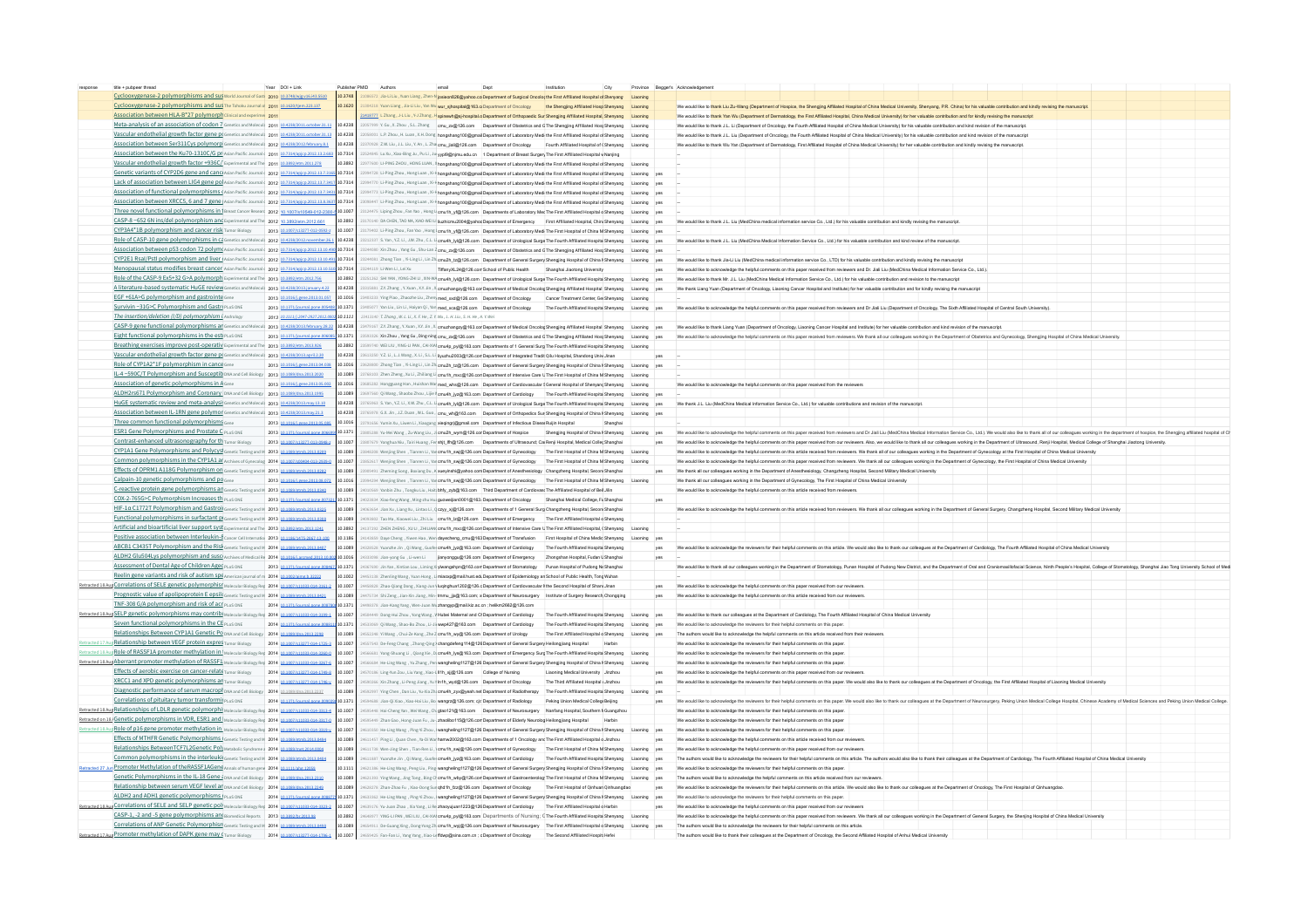| title + pubpeer threar                                                                                          | Year DOI+Link                   |                |                                                                                                                                                 | Dept | Institution<br>City                                                      |     |     | Province Begger's Acknowledgement                                                                                                                                                                                              |
|-----------------------------------------------------------------------------------------------------------------|---------------------------------|----------------|-------------------------------------------------------------------------------------------------------------------------------------------------|------|--------------------------------------------------------------------------|-----|-----|--------------------------------------------------------------------------------------------------------------------------------------------------------------------------------------------------------------------------------|
| Cyclooxygenase-2 polymorphisms and sus world Journal of Gast 2010 103748/wiz                                    |                                 | 10.3748        | 572 Jla-Li Liu, Yuan Liang, Zhen-N josieon826@yahoo.co Department of Surgical Oncolog the First Affiliated Hospital of Shenyang                 |      |                                                                          |     |     |                                                                                                                                                                                                                                |
| Cyclooxygenase-2 polymorphisms and sus The Tohoku Journal o 2011 10.1620/tiem.223.137                           |                                 | 101620         | 304218 Yuan Llang, Jia-Li Liu, Yan Wu wur_sjhospital@163.orDepartment of Oncology the Shengjing Affiliated Hosp Shenyang Liaoning               |      |                                                                          |     |     | We would like to thank Liu Zu-Wang (Department of Hospice, the Shengjing Affiliated Hospital of China Medical University, Shenyang, P.R. China) for his valuable contribution and kindly revising the manuscript               |
| Association between HLA-B*27 polymorph clinical and experime 2011                                               |                                 |                | 1418777 L Zhang . J-L Liu . Y-J Zhang . H spinewh@si-hospital.o Department of Orthopaedic Sun Shengiing Affiliated Hospital, Shenyang Liaoning  |      |                                                                          |     |     | We would like to thank Yan Wu (Department of Dermatology, the First Affliated Hospital, China Medical University) for her valuable contribution and for kindly revising the manuscript                                         |
| Meta-analysis of an association of codon 7 Genetics and Molecul 2011 10.4238/2011 october 31.1                  |                                 | 10.4238        | 2057999 Y. Gu, X. Zhou, S.L. Zhang cmu_zx@128.com Department of Obstetrics and GThe Shengjing Affiliated HospShenyang Liaoning                  |      |                                                                          |     |     | We would like to thank J.L. Li (Department of Oncology, the Fourth Affiliated Hospital of China Medical University) for his valuable contribution and kind revision of the manuscript                                          |
| Vascular endothelial growth factor gene p( Genetics and Molecul: 2011 10.4238/2011.october.31.13                |                                 | 10.4238        | 058001 LP. Zhou, H. Luan, X.H. Dong hongshang100@gmail Department of Laboratory Medi the First Affiliated Hospital of Shenyang Liaoning         |      |                                                                          |     |     | Ne would like to thank J.L. Liu (Department of Oncology, the Fourth Affiliated Hospital of China Medical University) for his valuable contribution and kind revision of the manuscrip                                          |
| Association between Ser311Cys polymorp Genetics and Molecul: 2012 10.4238/2012 february.8.1                     |                                 | 10.4238        |                                                                                                                                                 |      |                                                                          |     |     |                                                                                                                                                                                                                                |
|                                                                                                                 |                                 |                | 370928 Z.W. Llu , J.L. Llu , Y. An , L. Zha cmu jiali@126.com Department of Oncology Fourth Affiliated Hospital of (Shenyang Liaoning           |      |                                                                          |     |     | We would like to thank Wu Yan (Department of Dermatology, First Affiliated Hospital of China Medical University) for her valuable contribution and kindly revising the manuscrip                                               |
| Association between the Ku70-1310C/G DF Asian Pacific Journals 2011 10 7314/anico 2012 13 2 68                  |                                 | 10.7314        | 524845 Lu Xu . Xiao-Bing Ju . Pu Li . Ju wol9@nimu.edu.cn 1 Department of Breast Surgery The First Affiliated Hospital v Naniing                |      |                                                                          |     |     |                                                                                                                                                                                                                                |
| Vascular endothelial growth factor +936C/ Experimental and The 2011 10 3892/etm 2011.278                        |                                 | 10.3892        | STT600 LI-PING ZHOU, HONG LUAN, X hongshang 100@gmail Department of Laboratory Medi the First Affiliated Hospital of Shenyang Liaoning          |      |                                                                          |     |     |                                                                                                                                                                                                                                |
| Genetic variants of CYP2D6 gene and canci Asian Pacific Journal (2012 10.7314/apico.2012.13.7)                  |                                 | 10.7314        | 994728 Li-Ping Zhou, Hong Luan, Xi-H hongshang 100@gmail Department of Laboratory Medi the First Affiliated Hospital of Shenyang Liaoning ves   |      |                                                                          |     |     |                                                                                                                                                                                                                                |
| Lack of association between LIG4 gene po Asian Pacific Journal (2012 10.7314/)                                  |                                 | 10.7314        | 770 Li-Ping Zhou, Hong Luan, Xi-H hongshang 100@gmail Department of Laboratory Medi the First Affiliated Hospital of Shenyang Liaoning ves      |      |                                                                          |     |     |                                                                                                                                                                                                                                |
| Association of functional polymorphisms (Asian Pacific Journal (2012 107314/a                                   |                                 | 107314         | [Li-Ping Zhou, Hong Luan, Xi-H hongshang100@gmail Department of Laboratory Medi the First Affiliated Hospital of Shenyang Liaoning              |      |                                                                          |     |     |                                                                                                                                                                                                                                |
| Association between XRCC5, 6 and 7 gene Asian Pacific Journals 2012 10/7314/apico.2012.13.8.36                  |                                 | 107314         | 98447 Li-Ping Zhou , Hong Luan , Xi-H hongshang 100@gmail Department of Laboratory Medi the First Affiliated Hospital of Shenyang Liaoning yes  |      |                                                                          |     |     |                                                                                                                                                                                                                                |
| Three novel functional polymorphisms in 1 Breast Cancer Researc 2012 10.1007/s10549-012-2300                    |                                 |                |                                                                                                                                                 |      |                                                                          |     |     |                                                                                                                                                                                                                                |
|                                                                                                                 |                                 | 10.1007        | 124475 Liping Zhou . Fan Yao . Hong L cmu1h vf@126.com Departments of Laboratory Med The First Affiliated Hospital d Shenyang Liaoning ves      |      |                                                                          |     |     |                                                                                                                                                                                                                                |
| CASP-8-652 6N ins/del polymorphism and Experimental and The 2012 10 3892/etm 2012 661                           |                                 | 10.3892        | 3170140 DA CHEN, TAO MA, XIAO-WEI LI liuzhicmu2004@yahocDepartment of Emergency First Affiliated Hospital, Chini Shenyang Liaoning ves          |      |                                                                          |     |     | We would like to thank J.L. Liu (MedChina medical information service Co., Ltd.) for his valuable contribution and kindly revising the manuscript                                                                              |
| CYP3A4*1B polymorphism and cancer risk Tumor Blology 2013 10 1007/s13277-012-0592-z                             |                                 | 10.1007        | 1179402 Li-Ping Zhou, Fan Yao, Hong I cmu1h yf@126.com Department of Laboratory Medi The First Hospital of China M Shenyang Liaoning yes        |      |                                                                          |     |     |                                                                                                                                                                                                                                |
| Role of CASP-10 gene polymorphisms in Cd Genetics and Molecul: 2012 10.4238/2012 november.                      |                                 | 10.4238        | 212337 S. Yan, Y.Z. Li, J.W. Zhu, C.L. Li cmu4h. Iyi@126.com Department of Urological Surge The Fourth Affiliated Hospita Shenyang Liaoning yes |      |                                                                          |     |     | We would like to thank J.L. Liu (MedChina Medical Information Service Co., Ltd.) for his valuable contribution and kind review of the manuscript                                                                               |
| Association between p53 codon 72 polyme Asian Pacific Journal (2012 10.7314/apico.2012.13.10.4                  |                                 | 10.7314        | 244080 Xin Zhou , Yang Gu, Shu-Lan Z cmu zxigh126.com Department of Obstetrics and GThe Shenging Affiliated Hoss Shenyang Liaoning yes          |      |                                                                          |     |     |                                                                                                                                                                                                                                |
| CYP2E1 Rsal/Pstl polymorphism and liver (Asian Pacific Journal 2012 10.7314/apico.2012.13.10.4)                 |                                 | 10.7314        | 244081 Zhong Tian , Yi-Ling Li, Lin Zh cmu2h tz@126.com Department of General Surgery Shengjing Hospital of China I Shenyang Liaoning yes       |      |                                                                          |     |     | We would like to thank Jia Li Liu (MedChina medical information service Co. LTD) for his valuable contribution and kindly revision the manuscript                                                                              |
| Menopausal status modifies breast cancer Asian Pacific Journals 2012 107314                                     |                                 | 10.7314        | 1244119   LWenti LeiXu                                                                                                                          |      | TiffanyXL24@126.com School of Public Health Shanghai Jiaotong University |     | yes | We would like to acknowledge the helpful comments on this paper received from reviewers and Dr. Jiali Liu (MedChina Medical Information Service Co., Ltd.).                                                                    |
| Role of the CASP-9 Ex5+32 G>A polymorph Experimental and The 2013 10389                                         |                                 | 10.3892        | S1262 SHI YAN, YONG-ZHI LI, XIN-WA cmu4h .lyl@126.com Department of Urological Surge The Fourth Affiliated Hospita Shenyang Liaoning yes        |      |                                                                          |     |     | We would like to thank Mr. J.L. Liu (MedChina Medical Information Service Co., Ltd.) for his valuable contribution and revision to the manuscript                                                                              |
|                                                                                                                 |                                 |                |                                                                                                                                                 |      |                                                                          |     |     |                                                                                                                                                                                                                                |
| A literature-based systematic HuGE review Genetics and Molecul: 2013 104238/2013 January 4.22                   |                                 | 10.4238        | 315881 Z.Y. Zhang , Y. Xuan, X.Y. Jin, X cmuzhangzy@163.cor Department of Medical Oncolog Shengjing Affiliated Hospital Shenyang Liaoning yes   |      |                                                                          |     |     | We thank Liang Yuan (Department of Oncology, Liaoning Cancer Hospital and Institute) for her valuable contribution and for kindly revising the manuscrip                                                                       |
| EGF +61A>G polymorphism and gastrointe Gene                                                                     | 2013 10 1016/Lgene 2013 01:05   | 3101.01        | 403233 Ying Plao, Zhaozhe Liu, Zheny med xxd@126.com Department of Oncology Cancer Treatment Center, Ger Shenyang Liaoning                      |      |                                                                          |     |     |                                                                                                                                                                                                                                |
| Survivin -31G>C Polymorphism and Gastry PLOS ONE                                                                | 2013 10.1371/journal.pone.00    | 10.1371        | 405077 Yan Liu, Lin Li, Halyan Qi, Yan med xca@126.com Department of Oncology The Fourth Affiliated Hospita Shenyang Liaoning yes               |      |                                                                          |     |     | We would like to acknowledge the helpful comments on this paper received from reviewers and Dr Jiali Liu (Department of Oncology. The Sixth Affiliated Hospital of Central South University)                                   |
| The insertion/deletion (I/D) polymorphism i Andrology                                                           | 2013 10.1111/12047-2927-2012    | 10.1111        | 3413140 T. Zhana . W. L. Li . X. F. He . Z. Y. Wu . L. H. Liu . S. H. He . A. Y. Wei                                                            |      |                                                                          |     |     |                                                                                                                                                                                                                                |
| CASP-9 gene functional polymorphisms at Genetics and Molecul: 2013 10.4238/2013 february 28.2                   |                                 | 10.4238        |                                                                                                                                                 |      |                                                                          |     |     | [7315] Z.Y. Zhang, Y. Yuan, XY. Jin, X. cmuzhangxy@163.cor Department of Medical Oncolog Shenging Affiliated Hospital Shenyang Lisoning yes We would like to thank Liang Yuan (Department of Oncology, Lisoning Cancer Hospita |
| Eight functional polymorphisms in the esti PLOS ONE 2013 10.1371/                                               |                                 | 101371         | 1993326 Xin Zhou , Yang Gu , Ding-ning cmu zxog 126.com Department of Obstetrics and G The Shengjing Affiliated Host Shenyang Liaoning yes      |      |                                                                          |     |     | We would like to acknowledge the helpful comments on this paper received from reviewers. We thank all our colleagues working in the Department of Obstetrics and Gynecology, Shenging Hospital of China Medical Universit      |
| Breathing exercises improve post-operativ Experimental and The 2013 10.3892/etm.2013.926                        |                                 | 10.3892        |                                                                                                                                                 |      |                                                                          |     |     |                                                                                                                                                                                                                                |
|                                                                                                                 |                                 |                | IS99740 WEI LIU, YING-LI PAN, CAI-XIAI cmu4p_pyl@163.com Departments of 1 General Surg The Fourth Affiliated Hospita Shenyang Liaoning          |      |                                                                          |     |     |                                                                                                                                                                                                                                |
| Vascular endothelial growth factor gene D(Genetics and Molecul) 2013 10.4238/2013 april 2.20                    |                                 | 10.4238        | 3613250 Y.Z. Li . L.J. Wang . X. Li . S.L. Li livuzhu2003@126.com Department of Integrated Tradit Oilu Hospital, Shandong Univ Jinan            |      |                                                                          |     |     |                                                                                                                                                                                                                                |
| Role of CYP1A2*1F polymorphism in cance Gene                                                                    | 2013 10:1016/Leene, 2013.04.038 | 10.1016        | 628800 Zhong Tian , Yi-Ling Li, Lin Zhi cmu2h tz@126.com Department of General Surgery Shengiing Hospital of China I Shenyang Liaoning ves      |      |                                                                          |     |     |                                                                                                                                                                                                                                |
| IL-4-590C/T Polymorphism and Susceptib DNA and Cell Biology 2013 10.1089/dna 2013 2020                          |                                 | 10.1089        | 68103 Zhen Zheng, Xu Li, Zhiliang Li cmu1h mxc@126.com Department of Intensive Care UThe First Hospital of China M Shenyang Liaoning            |      |                                                                          |     |     |                                                                                                                                                                                                                                |
| Association of genetic polymorphisms in A <sub>Gene</sub>                                                       | 2013 10.1016/Leene.2013.05.00   | 10.1016        | gguang Han, Hulshan War med whs@126.com Department of Cardiovascular § General Hospital of Shenyang Shenyang Liaoning                           |      |                                                                          |     |     | We would like to acknowledge the helpful comments on this paper received from the re                                                                                                                                           |
| ALDH2rs671 Polymorphism and Coronary, DNA and Cell Biology 2013 10.1089/dna 2013 1995                           |                                 | 10 1089        | 97560 Qi Wang, Shaobo Zhou, Lille V cmu4h jyz@163.com Department of Cardiology The Fourth Affiliated Hospita Shenyang Liaoning yes              |      |                                                                          |     |     |                                                                                                                                                                                                                                |
| HuGE systematic review and meta-analysi: Genetics and Molecul: 2013 10.4238/2013 may 13.10                      |                                 | 10.4238        |                                                                                                                                                 |      |                                                                          |     |     | We thank J.L. Liu (MedChina Medical Information Service Co., Ltd.) for valuable contributions and revision of the manuscrip                                                                                                    |
|                                                                                                                 |                                 |                | (765963 S. Yan, Y.Z. Li, X.W. Zhu, C.L. Li cmu4h Ivi@128.com Department of Urological Surge The Fourth Affiliated Hospita Shenyang Liaoning ves |      |                                                                          |     |     |                                                                                                                                                                                                                                |
| Association between IL-1RN gene polymor Genetics and Molecul 2013 10.4238/2013 may 21.3                         |                                 | 10.4238        | 765978 G.X. Jin , J.Z. Duan , W.L. Guo , cmu wh@163.com Department of Orthopedics Sun Shenging Hospital of China I Shenyang Liaoning yes        |      |                                                                          |     |     |                                                                                                                                                                                                                                |
| Three common functional polymorphisms Gene                                                                      | 2013 10:1016/Leene, 2013.05.08  | 10.1016        | 91656 Yumin Xu, Liwen Li, Xiaogang xiegingri@gmail.com Department of Infectious Disear Ruijin Hospital                                          |      | Shanghai                                                                 |     |     |                                                                                                                                                                                                                                |
| ESR1 Gene Polymorphisms and Prostate C PLOS ONE                                                                 | 2013 10:1371/                   | 10.1371        | BD5288 Yu-Mei Wang , Zu-Wang Liu , Ji cmu2h wym@126.cor Department of Hospice Shengjing Hospital of China I Shenyang Liaoning yes               |      |                                                                          |     |     | would like to advnowledge the helpful comments on this paper received from reviewers and Dr Jiali Liu (MedChina Medical Information Service Co., Ltd.). We would also like to thank all of our colleagues working in the depar |
| Contrast-enhanced ultrasonography for th Tumor Biology 2013 10.1007/s13277-013-0948-z                           |                                 | 10.1007        | 1807679 Yonghua Niu, Tairi Huang, Fer shit_lfh@126.com Departments of Ultrascund; Cai Renji Hospital, Medical Coller Shanghai                   |      |                                                                          |     |     | We would like to acknowledge the helpful comments on this paper received from our reviewers. Also, we would like to thank all our colleagues working in the Department of Ultrasound, Renji Hospital, Medical College of Shang |
| CYP1A1 Gene Polymorphisms and Polycys Genetic Testing and M 2013 10 1089/gtmb.2013.0209                         |                                 | 10,1089        | S48208 Wenjing Shen , Tianren Li, Yar cmu1h swi@126.com Department of Gynecology The First Hospital of China M Shenyang Liaoning                |      |                                                                          |     |     | We would like to acknowledge the helpful comments on this article received from reviewers. We thank all of our colleagues working in the Department of Gynecology at the First Hospital of China Medical University            |
| Common polymorphisms in the CYP1A1 at Archives of Gynecolog 2014 10 1007/s00404-013-2939-0                      |                                 | 10.1007        | (852617 Wenjing Shen, Tianren Li, Yar cmu1h swi@126.com Department of Gynecology The First Hospital of China M Shenyang Liaoning                |      |                                                                          |     |     |                                                                                                                                                                                                                                |
|                                                                                                                 |                                 |                |                                                                                                                                                 |      |                                                                          |     |     | We would like to acknowledge the helpful comments on this paper received from reviewers. We thank all our colleagues working in the Department of Gynecology, the First Hospital of China Medical University                   |
| Effects of OPRM1A118G Polymorphism on Genetic Testing and M 2013 10 1089/8                                      | mb.2013.0282                    | 10.1089        | 09491 Zheming Song, Boxiang Du, K xueyinshi@yahoo.com Department of Anesthesiology Changzheng Hospital, Seconi Shanghai                         |      |                                                                          |     |     | We thank all our colleagues working in the Department of Anesthesiology, Changzheng Hospital, Second Military Medical University                                                                                               |
| Calpain-10 genetic polymorphisms and no cape                                                                    | 2013 10.1016/Leene.2013.08.07   | 3101.01        | 94294 Wenjing Shen , Tianren Li, Yar cmu1h swi@126.com Department of Gynecology The First Hospital of China M Shenyang Liaoning                 |      |                                                                          |     |     | Ne thank all our colleagues working in the Department of Gynecology, The First Hospital of China Medical Univ                                                                                                                  |
| C-reactive protein gene polymorphisms an Genetic Testing and M 2013 10 1089/etmb.2013.0340                      |                                 | 10 1089        | 010569 Yanbin Zhu, Tongku Liu, Halti bhfy_zyb@163.com Third Department of Cardiovas: The Affiliated Hospital of Beil Jilin                      |      |                                                                          |     |     | Ne would like to acknowledge the helpful comments on this article received from reviewers                                                                                                                                      |
| COX-2-765G>C Polymorphism Increases th PLOS ONE                                                                 | 2013 10.1371/journal.pone.00    | 10.1371        | 023834 Xiao-feng Wang, Ming-zhu Hui quoweilian0001@163. Department of Oncology Shanghai Medical College. Fu Shanghai                            |      |                                                                          |     |     |                                                                                                                                                                                                                                |
| HIF-1a C1772T Polymorphism and Gastroij Genetic Testing and M 2013 10.1089/gtmb.2013.0325                       |                                 | 10.1089        | 063654 Jian Xu, Liang Xu, Lintao Li, Qezyy xigh 126.com Departments of 1 General Surg Changzheng Hospital, Seconi Shanghai                      |      |                                                                          |     |     | We would like to acknowledge the helpful comments on this article received from reviewers. We thank all our colleagues working in the Department of General Surgery. Changzheng Hospital, Second Military Medical University   |
| Functional polymorphisms in surfactant pi Genetic Testing and M 2013 10.1089/gtmb.2013.0308                     |                                 | 10.1089        | 093802 Tao Ma . Xiaowei Liu . Zhi Liu omu 1h 1z@126.com Department of Emergency The First Affiliated Hospital q Shenyang                        |      |                                                                          |     |     |                                                                                                                                                                                                                                |
| Artificial and bioartificial liver support syst Experimental and The 2013 10.3892/etm.2013.1241                 |                                 | 103892         |                                                                                                                                                 |      |                                                                          |     |     |                                                                                                                                                                                                                                |
|                                                                                                                 |                                 |                | 137292 ZHEN ZHENG, XU LI, ZHILIAN cmu1h_mxc@126.com Department of Intensive Care UThe First Affiliated Hospital, (Shenyang Liaoning             |      |                                                                          |     |     |                                                                                                                                                                                                                                |
| Positive association between Interleukin-8 cancer cell Internatio 2013 10 1186/1475-2857-13-100                 |                                 | 101186         | 143859 Daye Cheng, Yiwen Hao, Wen dayecheng_cmu@163 Department of Transfusion First Hospital of China Medic Shenyang Liaoning yes               |      |                                                                          |     |     |                                                                                                                                                                                                                                |
| ABCB1 C3435T Polymorphism and the Risk Genetic Testing and M 2014 10.1089/etmb.2013.0407                        |                                 | 10,1089        | 328528 Yuanzhe Jin , Qi Wang, Guofer cmu4h_jyz@163.com Department of Cardiology The Fourth Affiliated Hospita Shenyang                          |      |                                                                          |     | ves | We would like to acknowledge the reviewers for their beloful comments on this article. We would also like to thank our colleagues at the Department of Cardiology. The Fourth Affiliated Hospital of China Medical University  |
| ALDH2 Glu504Lys polymorphism and susci Archives of Medical Re 2014 10.1016/Larcmed 2013.10                      |                                 | 10.1016        | 333098 Jian-yong Gu, Li-wen Li jianyonggu@126.com Department of Emergency Zhongshan Hospital, Fudan L Shanghai                                  |      |                                                                          |     |     |                                                                                                                                                                                                                                |
| Assessment of Dental Age of Children Agec PLOS ONE                                                              | 2013 10.1371                    | 10.1371        | 367690 Jin Yan , Xintian Lou , Liming Xi yiwangshpn@163.com Department of Stomatology Punan Hospital of Pudong Ne Shanghai                      |      |                                                                          |     |     | We would like to thank all our colleagues working in the Department of Stomatology, Punan Hospital of Pudong New District, and the Department of Oral and Craniomaxillofacial Science, Ninth People's Hospital, College of Sto |
| Reelin gene variants and risk of autism spe American journal of m 2014 101002                                   |                                 | 10.1002        | 53138 Zhenling Wang, Yuan Hong, Li miacxp@mail.hust.ed: Department of Epidemiology an School of Public Health, Tong Wuhan                       |      |                                                                          |     |     |                                                                                                                                                                                                                                |
| Retracted 18 Aug Correlations of SELE genetic polymorphist Molecular Biology Res. 2014 10 1007                  |                                 | 10.1007        |                                                                                                                                                 |      |                                                                          |     |     |                                                                                                                                                                                                                                |
| Prognostic value of apolipoprotein E epsils Genetic Testing and M 2014 10.1089/etmb.2013.0421                   |                                 |                | 458828 Zhao-Qiang Dong, Xiang-Jun I luqinghua1202@126.c Department of Cardiovascular lithe Second Hospital of Shan; Jinan                       |      |                                                                          |     |     | We would like to acknowledge the helpful comments on this paper received from our revi-                                                                                                                                        |
|                                                                                                                 |                                 | 10.1089        | 475734 Shi Zeng, Jian-Xin Jiang, Min- tmmu jjx@163.com; x Department of Neurosurgery Institute of Surgery Research Chongqing                    |      |                                                                          |     |     | We would like to acknowledge the helpful comments on this article received from our reviewers.                                                                                                                                 |
| TNF-308 G/A polymorphism and risk of act PLOS ONE                                                               | 2014 10.1371/journal.pone.00    | 10.1371        | 498378 Jian-Kang Yang, Wen-Juan Wu zhangyo@mail.kiz.ac.cn : helikm2662@126.com                                                                  |      |                                                                          |     |     |                                                                                                                                                                                                                                |
| Retracted 18 Aug SELP genetic polymorphisms may contribi Molecular Biology Reg 2014 10.1007/s11033-014-3199-1   |                                 | 10.1007        | S04449 Dong-Hui Zhou, Yong Wang, V Hubei Maternal and Ct Department of Cardiology The Fourth Affiliated Hospital Shenyang Liaoning ves          |      |                                                                          |     |     | We would like to thank our colleagues at the Department of Cardiology, The Fourth Affiliated Hospital of China Medical University                                                                                              |
| Seven functional polymorphisms in the CE PLOS ONE                                                               | 2014 10:1371                    | 101371         | 533069 Qi Wang, Shao-Bo Zhou, Li-Jii wwp427@163.com Department of Cardiology The Fourth Affiliated Hospita Shenyang Liaoning yes                |      |                                                                          |     |     | We would like to acknowledge the reviewers for their helpful comments on this paper.                                                                                                                                           |
| Relationships Between CYP1A1 Genetic Po DNA and Cell Biology 2014 10 1089/dna 2013 2298                         |                                 | 10 1089        | ISS2248 Yi Wang, Chui-Ze Kong, Zhe Z cmu1h_wy@126.com Department of Urology                                                                     |      | The First Affiliated Hospital o Shenyang Liaoning yes                    |     |     | The authors would like to acknowledge the helpful comments on this article received from their reviewers                                                                                                                       |
| Retracted 17 Aug Relationship between VEGF protein expres Tumor Biology 2014 10 1007/s13277-014-1725-3          |                                 | 10.1007        | 557543 De-Feng Chang, Zhong-Qing > changdefeng114@126 Department of General Surgery Heilongjiang Hospital Harbin                                |      |                                                                          |     |     | We would like to acknowledge the reviewers for their helpful comments on this paper                                                                                                                                            |
| Retracted 18 Aug Role of RASSF1A promoter methylation in Molecular Biology Res 2014 101007/5                    |                                 | 10,1007        | S66681 Yong-Shuang Li . Olang Xie . Di cmu4h Ivs@163.com Department of Emergency Surg The Fourth Affiliated Hospita Shenyang Liaoning           |      |                                                                          |     |     | We would like to acknowledge the reviewers for their helpful comments on this paper.                                                                                                                                           |
|                                                                                                                 |                                 | 10.1007        |                                                                                                                                                 |      |                                                                          |     |     |                                                                                                                                                                                                                                |
| Retracted 18 Aug Aberrant promoter methylation of RASSE1 Molecular Biology Reg 2014 10 1003                     |                                 |                | 66884 He-Ling Wang, Yu Zhang, Pen wangheling 1127@126 Department of General Surgery Shengjing Hospital of China I Shenyang Liaoning             |      |                                                                          |     |     | Ne would like to acknowledge the reviewers for their helpful comments on this pape                                                                                                                                             |
| Effects of aerobic exercise on cancer-relate Tumor Biology 2014 10.1007/s13277-014-1749-8                       |                                 | 10.1007        | 70186 Ling-Yun Zou , Liu Yang , Xiao-L IIth_xjj@126.com College of Nursing                                                                      |      | Liaoning Medical University Jinzhou                                      |     | yes | We would like to acknowledge the helpful comments on this paper received from our reviewer                                                                                                                                     |
| XRCC1 and XPD genetic polymorphisms at Tumor Blology 2014 10 1007/s13277-014-1746                               |                                 | 10.1007        | 80266 Xin Zhang, Li-Peng Jiang, Yu Y In1h wyd@126.com Department of Oncology                                                                    |      | The Third Affiliated Hospital (Jinzhou                                   |     |     | We would like to acknowledge the reviewers for their helpful comments on this paper. We would also like to thank our colleagues at the Department of Oncology, the First Affiliated Hospital of Liaoning Medical Universit     |
| Diagnostic performance of serum macropl pNA and Cell Blology 2014 10.1089/dna 2013 2237                         |                                 | 10 1089        | 592997 Ying Chen, Dan Liu, Yu-Xia Zh: cmu4h_zyx@yeah.net Department of Radiotherapy The Fourth Affiliated Hospita Shenyang Liaoning yes         |      |                                                                          |     |     |                                                                                                                                                                                                                                |
| Correlations of pituitary tumor transformil PLOS ONE                                                            | 2014 10:1371/                   | 10.1371        | 34688 Jian-Qi Xiao , Xiao-Hal Liu , Bo wangrz@126.com; cir: Department of Radiology Peking Union Medical College Beijing                        |      |                                                                          |     |     | We would like to adknowledge the reviewers for their helpful comments on this paper. We would also like to thank our colleagues at the Department of Neurosurgery, Peking Union Medical College Hospital, Chinese Academy of M |
| Retracted 18 Aug Relationships of LDLR genetic polymorphi; Molecular Biology Res 2014 10.1007/s11033-014-3313-4 |                                 | 10.1007        | 5448 Hai-Cheng Yan, Wei Wang, Ch gtao121@163.com Department of Neurosurgery Nanfang Hospital, Southern N Guangzhou                              |      |                                                                          |     |     | We would like to acknowledge the reviewers for their helpful comments on this paper.                                                                                                                                           |
|                                                                                                                 |                                 | 10.1007        |                                                                                                                                                 |      |                                                                          |     |     |                                                                                                                                                                                                                                |
| Retracted on 18, Genetic polymorphisms in VDR, ESR1 and Molecular Biology Res 2014 10 1007/s)                   |                                 |                | S549 Zhan Gao, Hong-Juan Fu, Ju-, zhaolibo 115@126.com Department of Elderly Neurolog Heilongjiang Hospital Harbin                              |      |                                                                          |     |     | We would like to acknowledge the reviewers for their helpful comments on this pape                                                                                                                                             |
| Retracted 18 Aus Role of p16 gene promoter methylation in Molecular Biology Rec 2014 10 1007/s11033-014-3319-   |                                 | 10.1007        | 610350 He-Ling Wang, Ping-Yi Zhou, I wangheling 1127@126 Department of General Surgery Shengjing Hospital of China I Shenyang Liaoning yes      |      |                                                                          |     |     | We would like to acknowledge the reviewers for their helpful comments on this paper                                                                                                                                            |
| Effects of MTHFR Genetic Polymorphisms (Genetic Testing and M 2014 10.1089/etmb.2013.0494                       |                                 | 10,1089        | 611457 Ping Li , Quan Chen, Ya-Di War hamw2002@163.com Departments of 1 Oncology and The First Affiliated Hospital d Jinzhou                    |      |                                                                          |     |     | We would like to acknowledge the helpful comments on this article received from our reviewers.                                                                                                                                 |
| Relationships BetweenTCF7L2Genetic Poly Metabolic Syndrome: 2014 10.1089/met.2014.0004                          |                                 | 10.1089        | 611738 Wen-Jing Shen , Tian-Ren Li, 1 cmu1h_swj@126.com Department of Gynecology The First Hospital of China M Shenyang Liaoning ves            |      |                                                                          |     |     | We would like to acknowledge the helpful comments on this paper received from our reviewers.                                                                                                                                   |
| Common polymorphisms in the interleukij Genetic Testing and M 2014 10.1089/etmb.2013.0404                       |                                 | 10,1089        | 611887 Yuanzhe Jin , Qi Wang, Guofer cmu4h_jyz@163.com Department of Cardiology The Fourth Affiliated Hospita Shenyang Liaoning yes             |      |                                                                          |     |     | The authors would like to acknowledge the reviewers for their helpful comments on this article. The authors would also like to thank their colleagues at the Department of Cardiology. The Fourth Affiliated Hospital of China |
| Retracted 27 Jun Promoter Methylation of theRASSF1AGeng Annals of human gene 2014 10.1111/ahg.12059             |                                 | 10.1111        |                                                                                                                                                 |      |                                                                          |     |     | We would like to acknowledge the reviewers for their helpful comments on this paper                                                                                                                                            |
|                                                                                                                 |                                 |                | 21386 He-Ling Wang, Peng Liu, Ping wangheling 1127@126 Department of General Surgery Shengjing Hospital of China I Shenyang Liaoning yes        |      |                                                                          |     |     |                                                                                                                                                                                                                                |
| Genetic Polymorphisms in the IL-18 Gene 2 DNA and Cell Biology 2014 10 1089/dna 2013 2310                       |                                 | 10.1089        | 21393 Ying Wang, Jing Tong, Bing Cliemuth_wby@126.com Department of Gastroenterologi The First Hospital of China M Shenyang Liaoning yes        |      |                                                                          |     |     | The authors would like to acknowledge the helpful comments on this article received from our reviewen                                                                                                                          |
| Relationship between serum VEGF level at DNA and Cell Biology 2014 10.1089/dna.2013.2249                        |                                 | <b>PROT 01</b> | 28278 Zhan-Zhao Fu , Xiao-Dong Sur qhd1h fzz@126.com Department of Oncology The First Hospital of Qinhuan Qinhuangdao                           |      |                                                                          | yes |     | We would like to acknowledge the reviewers for their helpful comments on this article. We would also like to thank our colleagues at the Department of Oncology, The First Hospital of Qinhuangdao                             |
| ALDH2 and ADH1 genetic polymorphisms (PLOS ONE                                                                  | 2014 10 1371/journal none 00    | 101371         | 33362 He-Ling Wang, Ping Yi Zhou, I wangheling 1127@126 Department of General Surgery Shengiing Hospital of China I Shenyang Liaoning ves       |      |                                                                          |     |     | We would like to acknowledge the reviewers for their helpful comments on this paper.                                                                                                                                           |
| Retracted 18 Aug Correlations of SELE and SELP genetic poly Molecular Biology Res 2014 10 1007                  |                                 | 10.1007        | 639176 Yu-Juan Zhao , Xia Yang, Li Re zhaoyujuan1223@126 Department of Cardiology The First Affiliated Hospital of Harbin                       |      |                                                                          |     | yes | We would like to acknowledge the helpful comments on this paper received from our reviewers                                                                                                                                    |
| CASP-1, -2 and -5 gene polymorphisms and Blomedical Reports 2013 10:3892/br 2013.98                             |                                 | 10.3892        | 648977 YING-LI PAN, WEI LIU, CAI-XIAI cmu4p_pyl@163.com Departments of Nursing; CThe Fourth Affiliated Hospita Shenyang Liaoning                |      |                                                                          |     |     | Ne would like to acknowledge the helpful comments on this paper received from reviewers. We thank all our colleagues working in the Department of General Surgery, the Shenjing Hospital of China Medical University           |
| Correlations of ANP Genetic Polymorphism Genetic Testing and M 2014 10 1089/gtmb.2013.0498                      |                                 | 10 1089        | 4654911 De-Guang Xing, Dong-Yong Zh cmu1h_wyj@126.com Department of Neurosurgery The First Affiliated Hospital a Shenyang Liaoning yes          |      |                                                                          |     |     | The authors would like to acknowledge the reviewers for their helpful comments on this article.                                                                                                                                |
|                                                                                                                 |                                 |                |                                                                                                                                                 |      |                                                                          |     |     |                                                                                                                                                                                                                                |
| Retracted 17 Aug Promoter methylation of DAPK gene may 4 Tumor Biology 2014 10 1007/1323                        |                                 | 10.1007        | (659425 Fan-Fan Li, Yang Yang, Xiao-Leffdwp@sina.com.cn; cDepartment of Oncology The Second Affiliated Hospiti Hefei                            |      |                                                                          |     |     | The authors would like to thank their colleagues at the Department of Oncology, the Second Affiliated Hospital of Anhui Medical University                                                                                     |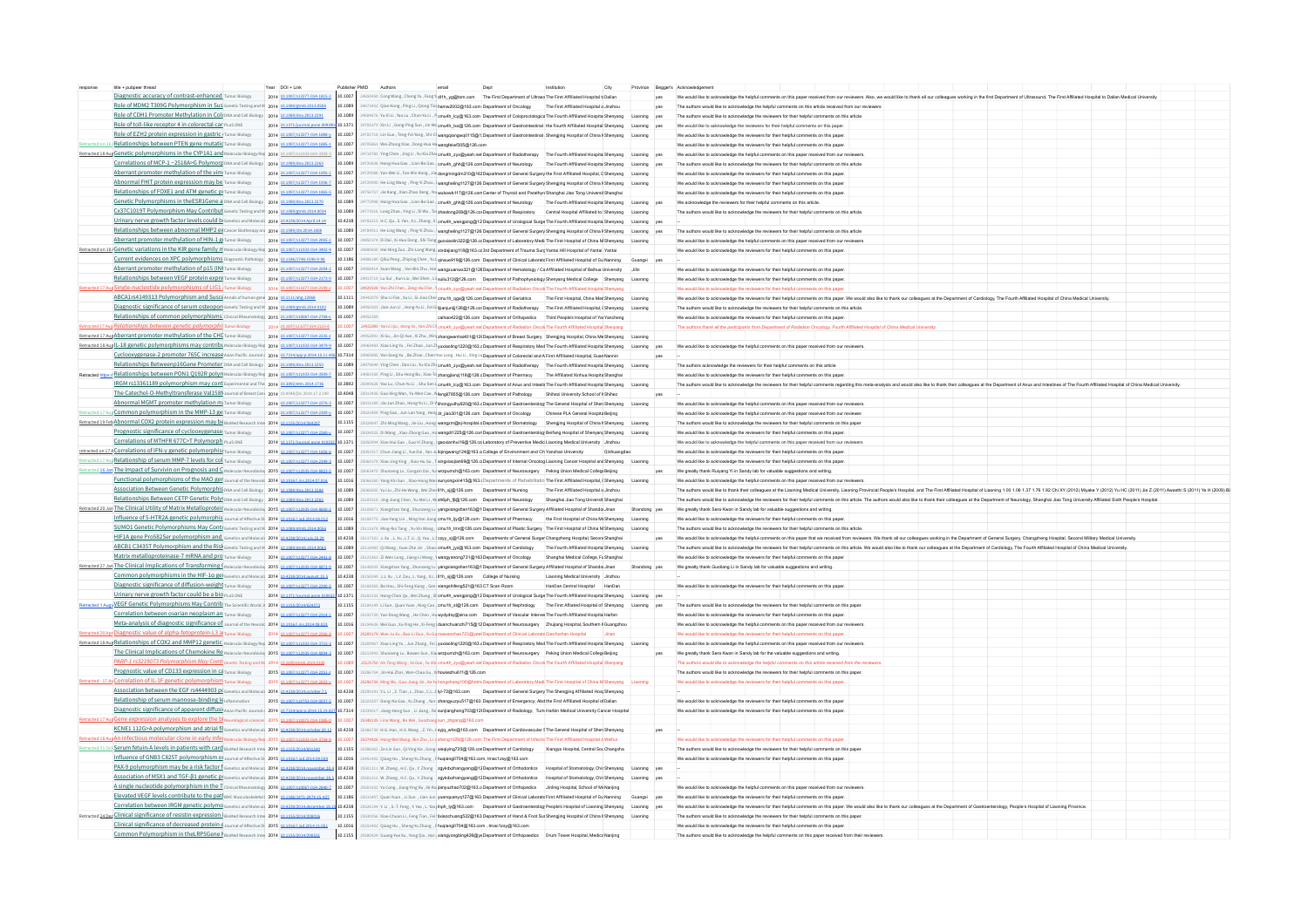| response title + pubpeer thread<br>Year DOI+Link Publisher PMID Authors email Dept Institution City Province Begger's Acknowledgement                                                                                                                                                                                                                                                           |                                                                                                                                                                                                                                |
|-------------------------------------------------------------------------------------------------------------------------------------------------------------------------------------------------------------------------------------------------------------------------------------------------------------------------------------------------------------------------------------------------|--------------------------------------------------------------------------------------------------------------------------------------------------------------------------------------------------------------------------------|
| Diagnostic accuracy of contrast-enhanced Tumorelogy 2014 [21207/2121212121] 201007  201500  201500  201500  201500  201500  201500  20150  20150  20150  20150  20150  20150  20150  20150  20150  20150  20150  20150  20150                                                                                                                                                                   |                                                                                                                                                                                                                                |
| Role of MDM2 T309G Polymorphism in Sus Genetic Testing and M 2014 10.1089/gmb.2013.0596 24673452 (Qian Kong, Plug 1, Qiong Tia   tamm2002@163.com Department of Oncology The First Affiliated Hospital e Justines Affiliated H                                                                                                                                                                  |                                                                                                                                                                                                                                |
| Role of CDH1 Promoter Methylation in Coli put and Cell Biology 2014  2018906020132291 201809 24684676   busill , Yoo Lu, ChunYu LL , Permuth Ley@163.com Department of Coloproclosgica The Fourth Affiliated Hospital Senators                                                                                                                                                                  |                                                                                                                                                                                                                                |
| Role of toll-like receptor 4 in colorectal car PLOS ONE 2014 10.1371/journal pone:003392-10.1371 24705379 XIn Li, Gong Pling Sin Jin Mic crush Lough 128 com Department of Gastrointestinal the Fourth Affiliated Hospital She                                                                                                                                                                  |                                                                                                                                                                                                                                |
| Role of EZH2 protein expression in gastric.   Tumor Biology 2014   0.0007/s13277-014-1888.y 10.1007   24T05718 Lin Guo, Teng-Fel Yangs   Si C   wangqiangwq0115@ filepartment of Gastrointestinal   Shenging Hospital of China<br>Ion 16 Relationships between PTEN gene mutatic Tumor Blology 2014 10 1007/s13277-014-1885-1 10.1007 24TOS863 Wel-Zhong Xiao, Dong-Hua Ha wangfelwf305@126.com | We would like to acknowledge the reviewers for their helpful comments on this paper.                                                                                                                                           |
| etracted 18.Aug Genetic polymorphisms in the CYP1A1.and Molecular Biology Rey 2014 10.1007/210334043359-1 20.1007 24718782 Ying Chen, Jing Li, WaSia Zimush zyx@yeah.net Department of Radiotherapy The Fourth Affiliated Hosp                                                                                                                                                                  |                                                                                                                                                                                                                                |
| Correlations of MCP-1-2518A>G Polymorp protations cell Biology 2014 10.108060020132253 10.1089 24770638 Hong-Hua Gao, Lian-Bo Gao, cmush, ghttpg128.com Department of Neurology The Fourth Affiliated Hospita Shenyang Liaonin                                                                                                                                                                  |                                                                                                                                                                                                                                |
| Aberrant promoter methylation of the vim Tumor Bloogy 2014 10.1007/s13277.014.19951 10.1007 2472998 Yun-Wei Li, Fan-Min Kong, Jial dongmingdm310@163 Department of General Surgery the First Affiliated Hospital, CShenyang Li                                                                                                                                                                  |                                                                                                                                                                                                                                |
| Abnormal FHIT protein expression may be now sology 2014 20.007/43777-0141936-2 10.1007 2473599 Nexting Plog November (Fried Play Mangheting 1778126) expandents of December Surgery Shereal Surgery Shereal Surgery Shereal Su                                                                                                                                                                  |                                                                                                                                                                                                                                |
| Relationships of FOXE1 and ATM genetic pi Tumor Biology 2014 10.1007/x13277.014.18555 10.1007 24755757 Jile Kang, Xian-Zhao Dong, XW wobowb117@128.com Center of Thyroid and Parathyri Shanghai also Tong Universit Shanghai W                                                                                                                                                                  |                                                                                                                                                                                                                                |
| Genetic Polymorphisms in the ESRIGene a provad coll Biblogy 2014 10 1089/dox 2013 2272 10.1089 24772998 Hong-Hua Gao , Lian-Bo Gao , clam-Bo Gao , clam-Bo Gao , public 2006 and be collected by The Fourth Affiliated Hospita                                                                                                                                                                  |                                                                                                                                                                                                                                |
| Cx37CL019T Polymorphism May Contribut Genetic Testing and M 2014  2018092014001 2017131516   2019 24773516   Long Zhoo, Ying U, D UND, The Zhadoong208@128.col Department of Respiratory Central Hospital Affiliated to Shenya                                                                                                                                                                  |                                                                                                                                                                                                                                |
| Urinary nerve growth factor levels could bi Genetics and Molecult 2014 10.4238/2014/201114.14 10.4238 24782215 H.C. Qu, S. Yan, X.L. Zhang, X cmu4h_wangping@12Department of Urological Surge The Fourth Affiliated Hospital S                                                                                                                                                                  |                                                                                                                                                                                                                                |
|                                                                                                                                                                                                                                                                                                                                                                                                 |                                                                                                                                                                                                                                |
| Aberrant promoter methylation of HIN-L@Tumor Biology 2014 10.007/14/3777-01-20551 10.1007 24850174 Di Dai , Xi Hua Dong, Shi-Tong guodeoin322@128 oc Department of Laboratory Medi The First Hospital of China M Shenyang Liso                                                                                                                                                                  |                                                                                                                                                                                                                                |
| Kracked on 18 Genetic variations in the KIR gene family n Molecular Biology Reg 2014 10.1007/014 10.1007/011033.014 10.1007/07 24800550 Hal-Ning Zuo, Zhi Long Way gradajung 198@163.cd and Department of Trauma Surg Yantai H                                                                                                                                                                  |                                                                                                                                                                                                                                |
| Current evidences on XPC polymorphisms plagnostic Pathology 2014 10.1186/1746-1596-9-96 10.1186 24886180 Qillu Peng, Zhiping Chen, Yu Leipxcue919@128.com Department of Clinical Laborate First Affiliated Hospital of Gu Nann                                                                                                                                                                  |                                                                                                                                                                                                                                |
| Aberrant promoter methylation of p15 (INI Tumor Biology 2014 an anaryst 277.014.20542 10.1007 2490814 Ruan Wang , Yan-Bin Zhu, Hail wangwamws221@128(Department of Hematology / Califfliated Hospital of Beihua University Jil                                                                                                                                                                  |                                                                                                                                                                                                                                |
| Relationships between VEGF protein expre more stology 2014  2100070143277-014-21734  10.0007   2013717-014-21734  10.0007   20137121-123   10.0007   20137121   201301   2014   2014   2015   2016   2016   2016   2016   Depa                                                                                                                                                                  |                                                                                                                                                                                                                                |
| 117 Aug Single-nucleotide polymorphisms of LIG1. Tumor Biology 2014 10.1007/23277-014-2199: 10.1007 24929328 Yan-Zhi Chen, Zeng-Hul Fan, Yangyleah. Panud Product Repartment of Radiation Oncol The Fourth Affiliated Hospita                                                                                                                                                                   |                                                                                                                                                                                                                                |
| ABCAIDS4149313 Polymorphism and Susci Annual of March 2014   2011 2012 2020 201111 201207 Shoul Fax, Null, Si Jaco Che and Regate 2014   2011 2012 3040 2011   201207 Shoul Fax All, Si Jac Cher and Regate of Cherafter contr                                                                                                                                                                  |                                                                                                                                                                                                                                |
| Diagnostic significance of serum osteopon Genetic Testing and M 2014 10.0389/gmb.2014.0102 2053003  2053003  201089   2053003   Jan-Jun Li , Here Nie in Apple The Genetherary The First Affiliated Hospital (Sempanny The Fir                                                                                                                                                                  |                                                                                                                                                                                                                                |
| Relationships of common polymorphisms clinical Rheumatolog 2015 10.1007/s10057.014-2708-x 10.1007 24952309 call and 22019 call and 220126.com Department of Orthopedics Third People's Hospital of Yar Yancheng                                                                                                                                                                                 | We would like to acknowledge the reviewers for their helpful comments on this paper.                                                                                                                                           |
| etracted 17 Aug Relationships between genetic polymorphi Tumor Biology 2014 10.007/112012-1221-6 10.1007   2052889   You J.Qu , Pang Yu , You 7th Ci <sub>l</sub> emuth, <sub>Li</sub> ve By each art Constant Chadation Cacek The Fourth Affiliate                                                                                                                                             | The authors thank all the participants from Department of Radiation Oncology, Fourth Affiliated Hospital of China Medical University                                                                                           |
| Retracted 17 Aug Aberrant promoter methylation of the CHI Tumor Biology 2014 10.1007/13777-014-2735-2 10.1007 24952891 Xi Gu , Jin-Q Xuo, Xi Zhu , Min 2hangwenhai401@12(Department of Breast Surgery Shenging Hospital, China                                                                                                                                                                  | the contract of the contract of the contract of the contract of the contract of                                                                                                                                                |
| Retracted 18 Aug  L-18 genetic polymorphisms may contribut Molecular Biology Rev 2014 181007/210333014-38739 10.1007 24959483 100007 24959483 1000010 12059483 2014 201608 101 7 24959483 10001 12000 1000 1000 1000 1000 1000                                                                                                                                                                  |                                                                                                                                                                                                                                |
| Cyclooxygenase-2 promoter 765C increase Asian Pacific Journal (2014 10.7314/apice 2014 15.1734/apice 2014 15.1734/apice 2014 15.1734/apice 2014 15.1734/apice 2014 15.1734/apice 2014 15.1734/apice 2014 17.1735 17.7334 24969                                                                                                                                                                  |                                                                                                                                                                                                                                |
| Relationships Betweenp16Gene Promoter, privad cell Biology 2014 10.108940320132253 10.1089 2013089 2013089 2013089 2013089 2013089 2013089 2013089 201308 20130 20130 20130 20130 20130 20130 20130 20130 20130 20130 20130 20                                                                                                                                                                  |                                                                                                                                                                                                                                |
| Retracted https:// Relationships between PON1 Q192R polyn Motocular Biology Rev. 2014 10.1007/s11033014-35931 20.007 24981330 Ping U, Stu-Hong Bu, Xiao-To annagiang/116@128.cDepartment of Pharmacy The Affiliated Xinhua Hos                                                                                                                                                                  |                                                                                                                                                                                                                                |
|                                                                                                                                                                                                                                                                                                                                                                                                 |                                                                                                                                                                                                                                |
| The Catechol-O-Methyltransferase Val158N Journal of Breast Care 2014 10.4048/Joc.2014.17.2.149 10.4048 25013418 Guo-Xing Wan, Yu-Wen Cap, Weng17856@128.com Department of Pathology Shihezi University School of N Shihez                                                                                                                                                                       |                                                                                                                                                                                                                                |
| Abnormal MGMT promoter methylation mi Tumor Blokey 2014 10.007/s13777-014-2276-3 10.1007 25015189 Jia Jun Zhao, Hong-Nu U, DiV ithongyuthy620@163.cDepartment of Gastroenterolog The General Hospital of Shen Shenyang Lisonin                                                                                                                                                                  |                                                                                                                                                                                                                                |
| vd.17 Aug Common polymorphism in the MMP-13 get Tumor Biology 2014 10.1007/s13777.014.7309.y 10.1007 25023404 Ping Gao, Jun-Lan Yang, Hong of Jiao301@126.com Department of Oncology Chinese PLA General Hospita Beijing                                                                                                                                                                        | We would like to acknowledge the helpful comments on this paper received from our reviewer.                                                                                                                                    |
| Retracted 19 Feb ADDOTTIal COX2 protein expression may be susted Research Inte 2014 18:1155/2014/041155 2013517 2013155 20228-07 2013155 20238-07 2013155 20238-07 2013156 was empty applied report of Stomatology Shengjing H                                                                                                                                                                  |                                                                                                                                                                                                                                |
| Prognostic significance of cyclooxygenase Tumor Biology 2014 10.007/s13777.014.7350.y 10.1007 2503453 billwag, Xiao-Zhong Guo, He wangsf1228@128.con Department of Gastroenterolog Belfang Hospital of Shenyang Shenyang Lison                                                                                                                                                                  |                                                                                                                                                                                                                                |
| Correlations of MTHFR 677C>T Polymorph PLoS ONE 2014 10.1371/journal pone 010732 10.1371 25050954 Xian-Hui Gao , Guo-Ni Zhang , geoxianhui 16@128.col aborratory of Preventive Medic Lisoning Medical University Jinzhou                                                                                                                                                                        | We would like to acknowledge the helpful comments on this paper received from our reviewers                                                                                                                                    |
| retracted on 17 / Correlations of IFN-y genetic polymorphis( Tumor Biology 2014 10 1007/c13777.014.1856.6 10.1007 3551917 Chun Jiang U, Yue Dal, Yan-Ji Iqingwang124@163.q College of Environment and Ch Yanshan University Qi                                                                                                                                                                  | We would like to acknowledge the reviewers for their helpful comments on this paper.                                                                                                                                           |
|                                                                                                                                                                                                                                                                                                                                                                                                 |                                                                                                                                                                                                                                |
| Extracted 16 Jan The Impact of Survivin on Prognosis and C Melecular Neurobiols 2015 Jan 0007/120031013/0007 20053010 2007 20050103 Numang Lv, Conguin Dal We were emperated Neurosurgery Peking Union Medical College Beijing                                                                                                                                                                  |                                                                                                                                                                                                                                |
|                                                                                                                                                                                                                                                                                                                                                                                                 |                                                                                                                                                                                                                                |
| Association Between Genetic Polymorphis DNA and Cell Biology 2014 18.1899/dna 2013/2384 10.1899 25068505  Nu Liu, Zhi-He Wang, Wei Zhi-He Wang, Wei Zhe   Hh_xjj@128.com Department of Nursing The First Affiliated Hospital d                                                                                                                                                                  | The authors would like to thank their colleagues at the Liaoning Medical University, Liaoning Provincial People's Hospital, and The First Affiliated Hospital of Liaoning 1.00 1.06 1.37 1.76 1.92 Chi XY (2012) Miyake Y (201 |
| Relationships Between CETP Genetic Polyi DNA and Cell Biology 2014 10.089/dna 2013 2255 201089 25105518 Jing-Jiong Chen, Yu-Mei Li, WishSph_fligh 128.com Department of Neurology Shanghai Jiao Tong Universit Shanghai                                                                                                                                                                         | The authors would like to acknowledge the reviewers for their helpful comments on this article. The authors would also like to thank their colleagues at the Department of Neurology, Shanghai Jiao Tong University Affiliated |
| etracted 20 Jag The Clinical Utility of Matrix Metalloproteix Metalloproteix Metalloproteix Metalloproteix Metalloproteix Metalloproteix 2016 2016 10 1007   201007   201007   201007   201007   2010001 2010 100 2010 10000 1                                                                                                                                                                  |                                                                                                                                                                                                                                |
| Influence of 5-HTR2A genetic polymorphis Journal of Microsoft 2014 10.016611-2014 2014 01016101-2014 2014 2016 25100375 Jan Yang Unit To Stars Values (501 Interview and the Microsoft 25100775 Jan Yang Unit in Super Departm                                                                                                                                                                  |                                                                                                                                                                                                                                |
| SUMO1 Genetic Polymorphisms May Contr Genetic Testing and M 2014 10.089/atmb.2014.085 201089 25111578 Ming-Rui Tang, Yu-Xin Wang, I cmuth temgth26.com Department of Plastic Surgery The First Hospital of China M Shenyang Li                                                                                                                                                                  |                                                                                                                                                                                                                                |
| HIFLA gene Pro582Ser polymorphism and condict and lotical 2014  10.4238/2015/1001238  10.4238  10.4238  10.4238  10.4238  10.4238  10.4238  10.4238  10.4238  10.4238  10.4238  10.4238  10.4238  10.1238  10.1238  10.4238  1                                                                                                                                                                  |                                                                                                                                                                                                                                |
| ABCB1C3435T Polymorphism and the Risk Goods: Testing and Maps   Maps   20.000   20.000   20.000   20.000   20.000   20.000   20.000   20.000   20.000   20.000   20.000   20.000   20.000   20.000   20.000   20.000   20.000                                                                                                                                                                   |                                                                                                                                                                                                                                |
| Matrix metalloproteinase-7 mRNA and pro Tumor Biology 2014 Ja. 1007/14/2277204-24414 10.1007  25122051 201007  25122051 201007  25122051 201007  25122051 201010  261 20100  26100   Shanghai Medical College, Fig Shanghai We                                                                                                                                                                  |                                                                                                                                                                                                                                |
| Retracted 27 Jan The Clinical Implications of Transforming (Molecular Neurobiole 2015 12.0007/21203-014-83729 12.1007) 25148935 Xiangshan Yangshan Yangshan Yangshan 1630 grogsdan 1630 art of General Surgery Affiliated Hosp                                                                                                                                                                  |                                                                                                                                                                                                                                |
| Common polymorphisms in the HIF-10 get Genetics and Moleculi 2014 10.4238/2014 august 15.5 10.4238 25158249 J.1.Xu , L.Y. Zou , L. Yang , X.L.   If h xjj@128.com College of Nursing Liaoning Medical University Jinzhou                                                                                                                                                                        |                                                                                                                                                                                                                                |
| Diagnostic significance of diffusion-weight Tumor Blology 2014 10.1007/s13777-014-2390-5 10.1007 25168365 Bo Hou , Shi-Feng Xiang , Gen xiangshifeng521@163 CT Scan Room HanDan Central Hospital HanDan                                                                                                                                                                                         | We would like to acknowledge the reviewers for their helpful comments on this paper.                                                                                                                                           |
| Urinary nerve growth factor could be a big PLoS ONE 2014 10.1371/journal pone 010532 10.1371 25181532 Hong-Chen Qu , Wel Zhang, SI crnuth_wangping@12 Department of Urological Surge The Fourth Affiliated Hospita Shenyang Li                                                                                                                                                                  |                                                                                                                                                                                                                                |
| tetracted 1 Augy VEGF Genetic Polymorphisms May Contrilly the Scientific World   2014 1011350014624577 10.11550 25184169 11055014624577 10.11550 25184169 12010150 2014 20150 2016 2016 2016 2016 2016 2017 2018 2019 2016 201                                                                                                                                                                  |                                                                                                                                                                                                                                |
| Correlation between ovarian neoplasm an Tumor Biology 2014 10.000/s13277.014.23141 10.1007 25193770 Yue-Dong Wang, He Chen, Hu wydydsy@sina.com Department of Vascular Intervet The Fourth Affiliated Hospital Harbin                                                                                                                                                                           | We would like to acknowledge the reviewers for their helpful comments on this paper.                                                                                                                                           |
| Meta-analysis of diagnostic significance of Journal of the Neurol 2014 10.1016 Jac 3014 08.1015 10.1016 25194636 Wel Guo, Xu-Ying He, Xi-Feng   duanchuanzhi715@12 Department of Neurosurgery Zhujiang Hospital Southern # Gua                                                                                                                                                                  | We would like to acknowledge the helpful comments on this paper received from our reviewers.                                                                                                                                   |
| Etacted 20 Apr Diagnostic value of alpha-fetoprotein-13 al Tumor Biology 2014 10.1007/13727.014.2506.8 10.1007 25209179 Wan-Ju Xu , Bao-Li Guo, Yu Gamwanshan723@year Department of Clinical Laborate Qianfoshan Hospital Jina                                                                                                                                                                  | We would like to acknowledge the reviewers for their helpful comments on this paper                                                                                                                                            |
| Retacted 18 Aug Relationships of COX2 and MMP12 genetic, wolevan Bloog Ret 2014 181007/1103304311533  101007  2500991 Aug Relington Line Steelington Content of Respiration American American American American American Ameri                                                                                                                                                                  |                                                                                                                                                                                                                                |
| The Clinical Implications of Chemokine Re Meterodar Nourobolo 2015   0.0007   0.0007   2013999   2013999   2013999   2013999   2013999   2013999   2013999   2013999   2013999   Peking Union Medical Collegie Beijing v year                                                                                                                                                                   |                                                                                                                                                                                                                                |
| PARP-1 rs3219073 Polymorphism May Contr Gonetic Testing and M 2014 10.1089 post 10.1089 25225730 He Tong Wang , Yo Goo, Yu Xio crnu4h_zyx@yeah.net Department of Radiation Oncolt The Fourth Affiliated Hospital Shenyang                                                                                                                                                                       | The authors would like to acknowledge the helpful comments on this article received from the reviewers.                                                                                                                        |
| Prognostic value of CD133 expression in ca Tumor Biology 2015 10 1007/s13277-014-2251-x 10.1007 25285754 Jin-Hai Zhai , Wen-Chao Gu , X houkezhu611@126.com                                                                                                                                                                                                                                     | The authors would like to acknowledge the reviewers for their helpful comments on this paper.                                                                                                                                  |
| 1-17 ALCOTTELLATION OF ILLAT genetic polymorphism Tumor Biology 2016 10.1007/13277-014-2653-y 10.1007 25296730 Ming Ma ,Guo Jiang Jin , Ke'N hongshang100@hotm Department of Laboratory Medi The First Hospital of China M She                                                                                                                                                                  | We would like to acknowledge the reviewers for their helpful comments on this paper.                                                                                                                                           |
| Association between the EGF rs4444903 pt Genetics and Molecul 2014 10.4238/2014 october 7.1 10.4238 2539191 VL.U , Z. Tian , L. Zhao, C.L. Z hy 72@163.com Department of General Surgery The Shenging Affiliated Host Shenyang                                                                                                                                                                  |                                                                                                                                                                                                                                |
| Relationship of serum mannose-binding le inflammation 2015 10.1007/10753-014-0037-5 10.1007 25333307 Dong-Na Gao, Yu Zhang, Yan- zhangyuzyu517@163. Department of Emergency; Abd the First Affiliated Hospital of Dalian                                                                                                                                                                        | We would like to acknowledge the reviewers for their helpful comments on this paper                                                                                                                                            |
| Diagnostic significance of apparent diffusi Asian Pacific Journal (2014 10.7314/apics 2014.15.19.827 10.7314  25339017 Jiang Hong Hong Sun , Li Jiang, Fel sunjianghong 703@12 Department of Radiology, Turn Harbin Medical Un                                                                                                                                                                  | We would like to acknowledge the reviewers for their helpful comments on this paper.                                                                                                                                           |
| Aug Gene expression analyses to explore the bi Neurological sciences 2016 10.1007/s10072-014-1985.0 10.1007 25348135 Lina Wang, Bo Wei, Guozhang sun_zhgang@163.com                                                                                                                                                                                                                             |                                                                                                                                                                                                                                |
| KCNE1 112G>A polymorphism and atrial fil Genetics and Molecult 2014 10.4238/2014 october 20.12 10.4238 2536730 H.G. Han, H.S. Wang, Z. Yin, 1 syjq_whs@163.com Department of Cardiovascular \$ The General Hospital of Shen She                                                                                                                                                                 |                                                                                                                                                                                                                                |
| L8.Aug An infectious molecular clone in early infer Molecular Biology Reg 2015 10.1007/11033-014-37549 10.1007 35374426 Hong Wei Wang, Bin Zhu, JJ sheng1029@126.com The First Department of Infectio The First Affiliated Hos                                                                                                                                                                  | We would like to acknowledge the reviewers for their helpful comments on this paper                                                                                                                                            |
| 11 Oct Serum fetuin-A levels in patients with card BloMed Research Inte 2014 10.1155/014/691550 2015 25386562 Ze-Lin Sun, Ql-Ying Xie, Gong-alegying725@128.con Department of Cardiology Xiangya Hospital, Central Sou Changsh                                                                                                                                                                  | The authors would like to acknowledge the reviewers for their helpful comments on this paper.                                                                                                                                  |
| Influence of GNB3 C825T polymorphism @ Journal of Affective Di 2015 10.1016   10.1014 014.09.039   10.1016   25451402   Qlang Hu , Sheng Nu Zhang , Fluqiang0704@163.com, tmac1zsy@163.com                                                                                                                                                                                                      | We would like to acknowledge the reviewers for their helpful comments on this paper.                                                                                                                                           |
| PAX-9 polymorphism may be a risk factor f Genetics and Molecul 2014 10.4238/2014 november 28.4 10.4238 25501211 W. Zhang, H.C. Qu, Y. Zhang zgykdxzhangyang@12Department of Orthodontics Hospital of Stomatology, Chir Shenyan                                                                                                                                                                  |                                                                                                                                                                                                                                |
| Association of MSX1 and TGF-B1 genetic pi Genetics and Moleculi 2014 10.4738/2014 november 28.5 10.4238 25901212 W. Zhang, H.C. Qu, Y. Zhang zgykdxzhangyang@12Department of Orthodontics Hospital of Stomatology, Chir Shenya                                                                                                                                                                  |                                                                                                                                                                                                                                |
| A single nucleotide polymorphism in the Ticlinial Rheumatolog 2016 10.0007/100567.014-2840-7 200007 25501632 VuCong, Jiang Sing Ru Line Si janyuzhao702@163.o Department of Orthopedics Jiniing Hospital, School of Mit Namijn                                                                                                                                                                  |                                                                                                                                                                                                                                |
| Elevated VEGF levels contribute to the patl anc Musculoskaketal 2014 10.1186/1411-2474-15-432 10.1186 25515407 Quan Yuan, 1Li Sun , Ilson, Jim Juanpuanyq127@163, Department of Cinical Laborate First Affiliated Hospital of                                                                                                                                                                   |                                                                                                                                                                                                                                |
|                                                                                                                                                                                                                                                                                                                                                                                                 |                                                                                                                                                                                                                                |
| 24 Dec Clinical significance of resistin expression jainted Research Inte 2014 10.1155/2014/200016 2014 10.1155001/200016 2015155   20151555   Xiso Chuan Li, Fereg Tian, Fel   Bisochousney\$22@163 Department of Hand & Foot                                                                                                                                                                  |                                                                                                                                                                                                                                |
| Clinical significance of decreased protein ( Journal of Affective D) 2015 10 1016 (184 2014 11.051 10.1016 25553402 Qlang Hu , Sheng-Yu Zhang , Fhuqiang0704@163.com , tmac1zsy@163.com                                                                                                                                                                                                         | We would like to acknowledge the reviewers for their helpful comments on this paper.                                                                                                                                           |
| Common Polymorphism in the LRP5Gene   BloMed Research Inte 2014   20155/2014/290531 10.1155   25580429 Guang Yue Xu , Yong Qiu , Hal-, xiangyongbing428@yeDepartment of Orthopaedics Drum Tower Hospital, Medici Nanjing                                                                                                                                                                        | The authors would like to acknowledge the helpful comments on this paper received from their reviewers                                                                                                                         |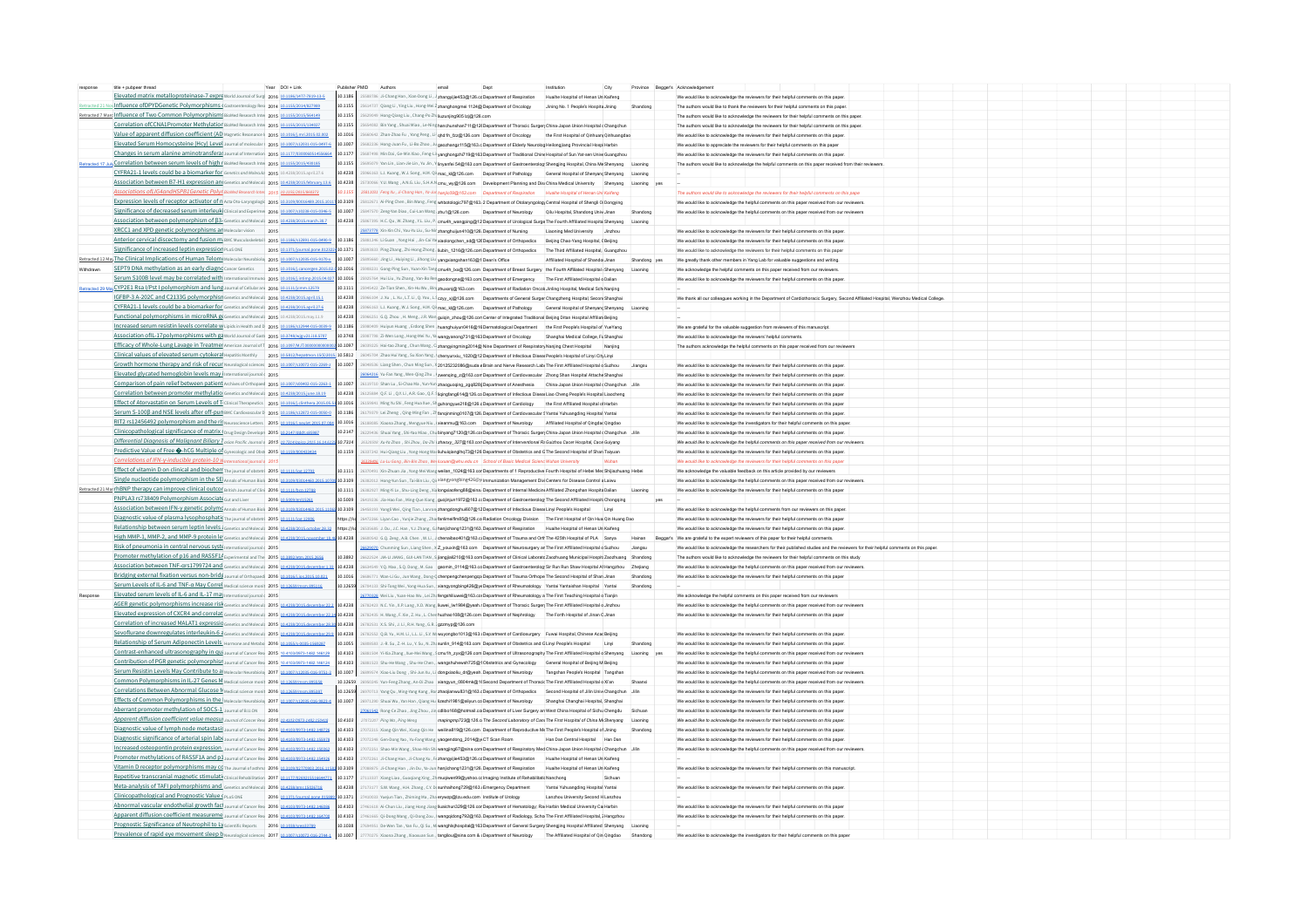| title + pubpeer thread                                                                                         | Year DOI+Link    | Publisher PMID | Authors                                                                                                                                                                                                                                                          | Dept | Institution<br>City                 | Province Begger's Acknowledgemen |                                                                                                                                      |  |  |  |  |
|----------------------------------------------------------------------------------------------------------------|------------------|----------------|------------------------------------------------------------------------------------------------------------------------------------------------------------------------------------------------------------------------------------------------------------------|------|-------------------------------------|----------------------------------|--------------------------------------------------------------------------------------------------------------------------------------|--|--|--|--|
| Elevated matrix metalloproteinase-7 expre world Journal of Surg 2016 10.1186/1477-7819-13-5                    |                  | 10.1186        | SSS8786 Ji-Chang Han, Xian-Dong Li, J zhangyije453@126.cc Department of Respiration Huaihe Hospital of Henan Un Kaifeng                                                                                                                                          |      |                                     |                                  | We would like to acknowledge the reviewers for their helpful comments on this pape                                                   |  |  |  |  |
| o Influence of DPYD Genetic Polymorphisms (Gastroenterology Res 2014 10.1155/2014/827989                       |                  | 10.1155        | 5614737 Qiang Li , Ying Liu , Hong-Mei Z zhanghongmei 1124@ Department of Oncology Jining No. 1 People's Hospita Jining                                                                                                                                          |      |                                     |                                  | The authors would like to thank the reviewers for their helpful comments on this pape                                                |  |  |  |  |
| Retracted 7 Marr Influence of Two Common Polymorphisms BloMed Research Inter 2015 10 1155/2015/564145          |                  | 0.1155         | 5629049 Hong-Olang Liu . Chang-Po Zh liuzuniing905 izi@126.com                                                                                                                                                                                                   |      |                                     |                                  | The authors would like to acknowledge the reviewers for their helpful comments on this pape                                          |  |  |  |  |
| Correlation of CCNA1Promoter Methylation BloMed Research Inte 2015 10 1155/2015/134027                         |                  | 10.1155        | 5654082 Bin Yang, Shuai Miao, Le-Ning hanchunshan711@12(Department of Thoracic Surger China-Japan Union Hospital (Changchun                                                                                                                                      |      |                                     |                                  | The authors would like to acknowledge the reviewers for their beloful comments on this pape                                          |  |  |  |  |
| Value of apparent diffusion coefficient (AD Magnetic Resonance   2015 10.1016/j.mrl.2015.02.002                |                  | 101016         | 5660642 Zhan-Zhao Fu . Yong Peng . Li- chd 1h fzzi@126.com Department of Oncology the First Hospital of Oinhuant Oinhuanodag                                                                                                                                     |      |                                     |                                  | We would like to acknowledge the reviewers for their helpful comments on this paper                                                  |  |  |  |  |
| Elevated Serum Homocysteine (Hcy) Level Journal of molecular 2016 10 1007/s12031-015-0497-6                    |                  | 0.1007         |                                                                                                                                                                                                                                                                  |      |                                     |                                  | We would like to appreciate the reviewers for their helpful comments on this paper                                                   |  |  |  |  |
| Changes in serum alanine aminotransferas Journal of Internation 2015 10.1177/03                                |                  | 101177         | 5682236 Hong-Juan Fu, Li-Bo Zhao, Ju gaozhangz 115@ 163.c Department of Elderly Neurolog Heilongjiang Provincial Hospi Harbin                                                                                                                                    |      |                                     |                                  |                                                                                                                                      |  |  |  |  |
|                                                                                                                |                  |                | 5687498 Min Dai , Ge-Min Xiao , Feng-Lii yanghongzhi719@163 Department of Traditional Chine Hospital of Sun Yat-sen Unive Guangzhou                                                                                                                              |      |                                     |                                  | We would like to acknowledge the reviewers for their helpful comments on this paper                                                  |  |  |  |  |
| Retracted 17 July Correlation between serum levels of high r BloMed Research Inter 2015 10.1155/2015/430185    |                  | 2211.01        | S695079 Yan Lin, Lian-Jie Lin, Yu Jin, Y linyanfei 54@163.com Department of Gastroenterologi Shengjing Hospital, China Me Shenyang Liaoning                                                                                                                      |      |                                     |                                  | The authors would like to acknowledge the helpful comments on this paper received from their reviewen                                |  |  |  |  |
| CYFRA21-1 levels could be a biomarker for Genetics and Molecule 2016 10.4238/2015.april.27.6                   |                  | 10.4238        | S966163 LL Kuang, W.J. Song, H.M. Qii mac_ki@126.com Department of Pathology General Hospital of Shenyang Shenyang Liaoning                                                                                                                                      |      |                                     |                                  |                                                                                                                                      |  |  |  |  |
| Association between B7-H1 expression and Genetics and Molecul: 2016 104238/2015 february.13.6                  |                  | 10.4238        | 5730066 Y.U. Wang, A.N.G. Liu, S.H.A.N cmu wy@126.com Development Planning and Disc China Medical University Shenyang Liaoning ves                                                                                                                               |      |                                     |                                  |                                                                                                                                      |  |  |  |  |
| Associations of LIG4andHSPB1Genetic Polyt BloMed Research Inter 2015 10.1                                      |                  |                | S811031 Feng Xu, Ji-Chang Han, Ya-Jun hanjic09@163.com Department of Respiration Huaihe Hospital of Henan Uni Kaifeng                                                                                                                                            |      |                                     |                                  | ors would like to acknowledge the reviewers for their helpful comments on this pape                                                  |  |  |  |  |
| Expression levels of receptor activator of n Acta Oto-Laryngologic 2015 10 3109/00016489.20                    |                  | 0.3109         | 5812671 Al-Ping Chen, Bin Wang, Feng whbotologic797@163.2 Department of Otolaryngology Central Hospital of Shengli Oi Dongying                                                                                                                                   |      |                                     |                                  | We would like to acknowledge the helpful comments on this paper received from our review                                             |  |  |  |  |
| Significance of decreased serum interleuki clinical and Experime 2016 10 1007/s1028-015-0346-5                 |                  | 10.1007        | (S847570 Zene/Yan Diao, Cui-Lan Wang, zhu 1@126.com Department of Neurology Oilu Hospital, Shandong Univ Jinan Shandong                                                                                                                                          |      |                                     |                                  | We would like to acknowledge the helpful comments on this paper received from our reviewers                                          |  |  |  |  |
| Association between polymorphism of $\beta$ 3- Genetics and Molecul: 2016 10.4238/2015 march.30.7              |                  | 104238         | SB57395 H.C. Qu, W. Zhang, Y.L. Liu, P. cmu4h_wangping@12 Department of Urological Surge The Fourth Affiliated Hospita Shenyang Liaoning                                                                                                                         |      |                                     |                                  |                                                                                                                                      |  |  |  |  |
| XRCC1 and XPD genetic polymorphisms an Molecular vision 2015                                                   |                  |                | 25873778 Xin Xin Chi, You-Yu Liu, Su-Nir zhanghuijun410@126. Department of Nursing Liaoning Med University Jinzhou                                                                                                                                               |      |                                     |                                  | We would like to acknowledge the reviewers for their helpful comments on this pape                                                   |  |  |  |  |
| Anterior cervical discectomy and fusion mi BMC Musculoskeletal 2015 10 1186/s12891-015-0490-9                  |                  | 0.1186         | ESB31246 Li Guan , Yong Hai , Jin-Cai Yai xiaolonochen sd@12{ Department of Orthopedics Beijing Chao-Yang Hospital, CBeijing                                                                                                                                     |      |                                     |                                  | We would like to acknowledge the reviewers for their helpful comments on this pape                                                   |  |  |  |  |
| Significance of increased leptin expression PLOS ONE                                                           | 2015 10:1371/    | 10.1271        | S893833 Ping Zhang, Zhi-Hong Zhong, liubin_1216@126.com Department of Orthopedics The Third Affiliated Hospital, Guangzhou                                                                                                                                       |      |                                     |                                  | We would like to acknowledge the reviewers for their helpful comments on this paper                                                  |  |  |  |  |
| Retracted 12 May The Clinical Implications of Human Telomy Molecular Neurobiolo 2016 10 1007/s12035-015-9170-x |                  | 10.1007        | S895660 Jing Li, Huiying Li, Jihong Liu yangxiangshan163@1Dean's Office                                                                                                                                                                                          |      | Affiliated Hospital of Shando Jinan | Shandong ver                     | We greatly thank other members in Yang Lab for valuable suggestions and writing.                                                     |  |  |  |  |
| SEPT9 DNA methylation as an early diagno cancer Genetics 2015 10:101                                           |                  |                |                                                                                                                                                                                                                                                                  |      |                                     |                                  |                                                                                                                                      |  |  |  |  |
| Serum S100B level may be correlated with reconstructive                                                        |                  | 0.1016         | 5908231 Gong-Ping Sun, Yuan-Xin Tang cmu4h Ixxx 28126.com Department of Breast Surgery the Fourth Affiliated Hospital Shenyang Liaoning                                                                                                                          |      |                                     |                                  | We acknowledge the helpful comments on this paper received from our reviewers.                                                       |  |  |  |  |
|                                                                                                                | unc 2015 10.1016 |                | 925764 Hul Liu, Yu Zhang, Yan-Bo Ren gaodongna@163.com Department of Emergency The First Affiliated Hospital o Dalia                                                                                                                                             |      |                                     |                                  | We would like to acknowledge the reviewers for their helpful comments on this pape                                                   |  |  |  |  |
| Retracted 29 May CYP2E1 Rsa I/Pst I polymorphism and lung Journal of Cellular an 2016 10.1111/icmm 12579       |                  | 10 11 11       | 5945422 Ze-Tian Shen, Xin-Hu Wu, Bin zhuxxnj@163.com Department of Radiation Oncok Jinling Hospital, Medical Sch Nanjing                                                                                                                                         |      |                                     |                                  |                                                                                                                                      |  |  |  |  |
| IGFBP-3 A-202C and C2133G polymorphist Genetics and Molecula 2016 10.4238/2015.april.15.1                      |                  | 10.4238        | (5966104 J. Xu . L. Xu . L.T. Li . O. You . L. Fezyv xight 26.com Departments of General Surger Changzheng Hospital, Seconi Shanghai                                                                                                                             |      |                                     |                                  | We thank all our colleggues working in the Department of Cardiothoracic Surgery, Second Affiliated Hospital, Wegzbou Medical College |  |  |  |  |
| CYFRA21-1 levels could be a biomarker for Genetics and Molecul: 2015 104238/2015 april 27.6                    |                  | 10.4238        | S966163 LL Kuang, W.J. Song, H.M. Qli mac kigh 126.com Department of Pathology General Hospital of Shenyang Shenyang Liaoning                                                                                                                                    |      |                                     |                                  |                                                                                                                                      |  |  |  |  |
| Functional polymorphisms in microRNA ge Genetics and Molecul: 2016 10.4238/2015.may.11.9                       |                  | 10.4238        | S966251 G.Q. Zhou , H. Meng, J.R. Wan guigin_zhou@126.con Center of Integrated Traditional Beijing Ditan Hospital Affiliati Beijing                                                                                                                              |      |                                     |                                  |                                                                                                                                      |  |  |  |  |
| Increased serum resistin levels correlate w Lipids in Health and D 2015 10 1186/s12944-015-0039-9              |                  | 101186         | 5980409 Hulyun Huang, Erdong Shen, huanghuivun0416@16 Dermatological Department the First People's Hospital of YueYang                                                                                                                                           |      |                                     |                                  | We are grateful for the valuable suggestion from reviewers of this manuscript                                                        |  |  |  |  |
| Association of IL-17 polymorphisms with ga world Journal of Gast 2016 103748/wiz v21.118.5707                  |                  | 103748         | 5987798 Zi-Wen Long, Hong-Mei Yu, Ya wangyanong731@163Department of Oncology Shanghai Medical College, Fu Shanghai                                                                                                                                               |      |                                     |                                  | We would like to acknowledge the reviewers' helpful comments                                                                         |  |  |  |  |
| Efficacy of Whole-Lung Layage in Treatmer American Journal of 1 2016 10.1097/MJT.0000                          |                  | 101097         | 6039225 Hai-tao Zhang, Chun Wang, C zhangyingming 2014@ Nine Department of Respiratory Nanjing Chest Hospital Nanjing                                                                                                                                            |      |                                     |                                  | The authors acknowledge the helpful comments on this paper received from our reviewers                                               |  |  |  |  |
| Clinical values of elevated serum cytokeral Hepatitis Monthly 2015 10 5812/hepatmon 15(5)2015 10.5812          |                  |                | 6045704 Zhao Hui Yang , Su Xian Yang , I chenyunxiu 1020@12 Department of Infectious Diseas People's Hospital of Linvi City Linvi                                                                                                                                |      |                                     |                                  |                                                                                                                                      |  |  |  |  |
|                                                                                                                |                  |                |                                                                                                                                                                                                                                                                  |      |                                     |                                  |                                                                                                                                      |  |  |  |  |
| Growth hormone therapy and risk of recur Neurological sciences 2016 10.1007/s10072-015-2269-2                  |                  | 10.1007        | 048536 Liang Shen, Chun Ming Sun, X 20125232086@suda.e Brain and Nerve Research Lab: The First Affiliated Hospital o Suzhou                                                                                                                                      |      |                                     |                                  | We would like to acknowledge the reviewers for their helpful comments on this paper                                                  |  |  |  |  |
| Elevated glycated hemoglobin levels may international journal, 2016                                            |                  |                | 054216 Yu-Fan Yang, Wen-Qing Zhu , I zwenqing z@163.com Department of Cardiovascular Zhong Shan Hospital Attache Shangha                                                                                                                                         |      |                                     |                                  | would like to acknowledge the reviewers for their helpful comments on this pape                                                      |  |  |  |  |
| Comparison of pain relief between patient archives of Orthopaer 2015 10 1007/00402-015-2263-1                  |                  | 101007         | 6119710 Shan Lu, Si-Chao Ma, Yun-Yun zhaoguoqing_zgq828g Department of Anesthesia China-Japan Union Hospital (Changchun Jilin                                                                                                                                    |      |                                     |                                  | We would like to acknowledge the reviewers for their helpful comments on this pape                                                   |  |  |  |  |
| Correlation between promoter methylatio Genetics and Molecul: 2015 10.4238/2015 June 18.19                     |                  | 10.4238        | 6125884 O.F. Li . O.Y. Li . A.R. Gao . O.F. Sligingfang614@126.co Department of Infectious Diseas Liao Cheng People's Hospital Liaocheng                                                                                                                         |      |                                     |                                  | We would like to acknowledge the reviewers for their helpful comments on this paper                                                  |  |  |  |  |
| Effect of Atorvastatin on Serum Levels of Ti Clinical Therapeutics 2016 10.1016/Lelinthera 2015.05.53          |                  |                | SIS9841 Ming Yu Shi , Feng Hua Xue , Sh guhongyue218@126.cDepartment of Cardiology the First Affiliated Hospital of Harbin                                                                                                                                       |      |                                     |                                  | We would like to acknowledge the reviewers for their helpful comments on this paper                                                  |  |  |  |  |
| Serum S-100ß and NSE levels after off-pun BMC Cardiovascular 0 2016 10.1186/s12872-015-0050-0                  |                  |                | ESI79379 Lei Zheng , Qing-Ming Fan , Zt fanginming0107@126. Department of Cardiovascular S Yantai Yuhuangding Hospital Yantai                                                                                                                                    |      |                                     |                                  | We would like to acknowledge the reviewers for their helpful comments on this pape                                                   |  |  |  |  |
| RIT2 rs12456492 polymorphism and the ri; Neuroscience Letters 2016 10.1016/j neulet.2015.07.01                 |                  | 101016         | 6188085 Xiaona Zhang, Mengyue Niu, i xieanmu@163.com Department of Neurology Affiliated Hospital of Qingdac Qingdao                                                                                                                                              |      |                                     |                                  | We would like to acknowledge the investigators for their helpful comments on this pap                                                |  |  |  |  |
| Clinicopathological significance of matrix   Drug Design Developr 2015 10 2147/ddt -85987                      |                  | 10.2147        | 6229436 Shuai Yang, Shi-Yao Miao, Chu binyang7120@126.cor Department of Thoracic Surger China-Japan Union Hospital (Changchun Jilin                                                                                                                              |      |                                     |                                  | We would like to acknowledge the reviewers for their helpful comments on this paper                                                  |  |  |  |  |
| Differential Diagnosis of Malignant Biliary 1 oslon Pacific Journal c 2015 10.7314/pgk                         |                  | 0.7314         | 26320508 Xu-Ya Zhao , Shi Zhou , Da-Zhi i zhaoxy 327fB 163.con Department of Interventional Rt Guizhou Cacer Hospital, Cace Guiyang                                                                                                                              |      |                                     |                                  | We would like to acknowledge the helpful comments on this paper received from our reviewer.                                          |  |  |  |  |
| Predictive Value of Free +hCG Multiple of Gynecologic and Obst 2015 10.11                                      |                  | 0.1159         | 6337242 Hul-Qlang Liu, Yong-Hong War liuhuiqiangihq73@126 Department of Obstetrics and GThe Second Hospital of Shan Taiyuar                                                                                                                                      |      |                                     |                                  | We would like to acknowledge the reviewers for their helpful comments on this pape                                                   |  |  |  |  |
| Correlations of IFN-V-inducible protein-10 W International Journal c 2018                                      |                  |                | 3339406 Lu-Lu Gong, Bin-Bin Zhao, Wei juxuan@whu.edu.cn School of Basic Medical Scienc Wuhan University                                                                                                                                                          |      |                                     |                                  | We would like to acknowledge the reviewers for their helpful comments on this pape                                                   |  |  |  |  |
| Effect of vitamin D on clinical and biochem The Journal of obstetr. 2016. 10.1111/log 17797                    |                  |                |                                                                                                                                                                                                                                                                  |      |                                     |                                  |                                                                                                                                      |  |  |  |  |
| Single nucleotide polymorphism in the SE Annals of Human Blok 2016 10:3109/030                                 |                  | 0.111          | 6370491 Xin-Zhuan Jia, Yong-Mei Wang weilan 1024@163.cor Departments of 1 Reproductive Fourth Hospital of Hebei Mec Shijiazhuang Hebe                                                                                                                            |      |                                     |                                  | We acknowledge the valuable feedback on this article provided by our reviewers                                                       |  |  |  |  |
|                                                                                                                |                  |                | (6382012 Hong-Yun Sun, Tal-Bin Liu, Qirxiangyongbing426@yi Immunization Management Divi Centers for Disease Control a Laiwu                                                                                                                                      |      |                                     |                                  | We would like to acknowledge the helpful comments on this paper received from our reviewers                                          |  |  |  |  |
| Retracted 21 MarthBNP therapy can improve clinical outcor British Journal of Clin 2016 10.1111/bcp.12788       |                  |                | (6382927 Ming-Yi Lv, Shu-Ling Deng, Xia longxiaofeng88@sina. Department of Internal Medicine Affiliated Zhongshan Hospita Dalian Liaoning                                                                                                                        |      |                                     |                                  | We would like to acknowledge the reviewers for their helpful comments on this paper                                                  |  |  |  |  |
| PNPLA3 rs738409 Polymorphism Associate Gut and Liver 2016 10 5009/gnl15261                                     |                  |                | (6419236 Jia-Hao Fan, Ming-Que Xiang, quojinjun1972@163.cc Department of Gastroenterologi The Second Affiliated Hospit: Chongqing                                                                                                                                |      |                                     |                                  |                                                                                                                                      |  |  |  |  |
| Association between IFN-y genetic polymc Annals of Human Blol 2016 103109/03014460.                            |                  | 9018.01        | 16458193 Yongli Wei, Qing Tian, Lanron zhangdonghui607@12 Department of Infectious Disear Linyi People's Hospital Linyi                                                                                                                                          |      |                                     |                                  | We would like to acknowledge the helpful comments from our reviewers on this pape                                                    |  |  |  |  |
| Diagnostic value of plasma lysophosphatic The Journal of obstate 2016 10 1111/log 12806                        |                  |                | (6472266 Livan Cao , Yunlie Zhang , Zha fanlimeifim85@126.co Radiation Oncology Division The First Hospital of Oin Hua Oin Huang Dao                                                                                                                             |      |                                     |                                  | We would like to acknowledge the reviewers for their helpful comments on this paper                                                  |  |  |  |  |
| Relationship between serum leptin levels ; Genetics and Molecul: 2018 10.4238/2015.october.28.32               |                  | ttps://s       | (6535685 J. Du , J.C. Han, Y.J. Zhang, G. hanichang1231@163. Department of Respiration Huaihe Hospital of Henan Un Kaifeng                                                                                                                                       |      |                                     |                                  | We would like to acknowledge the reviewers for their helpful comments on this paper                                                  |  |  |  |  |
| High MMP-1, MMP-2, and MMP-9 protein le Genetics and Molecul: 2016 10.4238/20                                  |                  | 10.4238        | 6600542 G.O. Zene, A.B. Chen, W. Li., J chenaibao401@163.or Department of Trauma and Ortf The 425th Hospital of PLA Sanva                                                                                                                                        |      |                                     | Hainan                           | Beggar's We are grateful to the expert reviewers of this paper for their helpful comments                                            |  |  |  |  |
| Risk of pneumonia in central nervous systemational journal (2015)                                              |                  |                | 6629070 Chunming Sun, Liang Shen, X Z vouxin@163.com Department of Neurosurgery an The First Affiliated Hospital o Suzhou                                                                                                                                        |      |                                     | Jianosu                          | We would like to acknowledge the researchers for their published studies and the reviewers for their helpful comments on this pape   |  |  |  |  |
| Promoter methylation of p16 and RASSE1/ Experimental and The 2016 10 3892/etm 2015 2656                        |                  | 0.3892         | 6622524 JIA-LI JIANG, GUI-LAN TIAN, S jiangjiali210@163.com Department of Clinical Laborato Zaozhuang Municipal Hospit: Zaozhuang Shandong                                                                                                                       |      |                                     |                                  | The authors would like to acknowledge the reviewers for their helpful comments on this study                                         |  |  |  |  |
| Association between TNF-ars1799724 and Genetics and Molecul: 2016 10.4238/2015 december 1.33                   |                  | 10.4238        | (6634549) Y.Q. Mao , S.Q. Dong , M. Gao gaomin 0114@163.co Department of Gastroenterolog Sir Run Run Shaw Hospital Al Hangzhou Zhejiang                                                                                                                          |      |                                     |                                  | We would like to acknowledge the beloful comments on this paper received from our reviewers                                          |  |  |  |  |
| Bridging external fixation versus non-brids Journal of Orthonaed 2016 10 1016/Les 2015 10:021                  |                  | 101016         | 5686771 Wan-Li Gu, Jun Wang, Dong-C chenpengchenpengcp Department of Trauma Orthope The Second Hospital of Shan Jinan Shandong                                                                                                                                   |      |                                     |                                  | We would like to acknowledge the reviewers for their helpful comments on this paper                                                  |  |  |  |  |
| Serum Levels of IL-6 and TNF-a May Correl Medical science monit 2015 10.12659/msm.895116                       |                  | 0.1265         | 6704133 Shi-Tong Wei, Yong-Hua Sun, xiangyongbing426@ytDepartment of Rheumatology Yantai Yantaishan Hospital Yantai                                                                                                                                              |      |                                     |                                  |                                                                                                                                      |  |  |  |  |
| Elevated serum levels of IL-6 and IL-17 may International Journal (2015)                                       |                  |                | 6770328 Wei Liu, Yuan-Hao Wu, Lei Zh; fengshifuwei@163.cor Department of Rheumatology a The First Teaching Hospital o Tianjin                                                                                                                                    |      |                                     |                                  | We acknowledge the helpful comments on this paper received from our reviewer                                                         |  |  |  |  |
| AGER genetic polymorphisms increase risk Genetics and Molecular 2015, 10.4238/2015 december 22                 |                  | 104238         |                                                                                                                                                                                                                                                                  |      |                                     |                                  |                                                                                                                                      |  |  |  |  |
| Elevated expression of CXCR4 and correlat Genetics and Molecul 2015 10.4238/2015 december 22.14 10.4238        |                  |                | 6782423 N.C. Yin , X.P. Lang, X.D. Wang liuwei_lw1984@yeah.r Department of Thoracic Surgery The First Affiliated Hospital a Jinzhou<br>(6782435 H. Wang, F. Xie, Z. Hu., L. Chen huzhao 108@126.com Department of Nephrology The Forth Hospital of Jinan C Jinan |      |                                     |                                  | We would like to acknowledge the helpful comments on this paper received from our reviewer                                           |  |  |  |  |
|                                                                                                                |                  |                |                                                                                                                                                                                                                                                                  |      |                                     |                                  | We would like to acknowledge the reviewers for their helpful comments on this paper                                                  |  |  |  |  |
| Correlation of increased MALAT1 expressig Genetics and Moleculi 2016 10.4238/2015.dec                          | ber.28.3         | 10.4238        | 6782531 X.S. Shi , J. Li , R.H. Yang , G.R. i gzzmyp@126.com                                                                                                                                                                                                     |      |                                     |                                  |                                                                                                                                      |  |  |  |  |
| Sevoflurane downregulates interleukin-6.2 Genetics and Molecul: 2015 10.4238/2015.de                           |                  | 10.4238        | 6782552 Q.B. Yu, H.M. Li, L.L. Li, S.Y. Wi wuyongbo1013@163. (Department of Cardiosurgery Fuwai Hospital, Chinese Acar Beijing                                                                                                                                   |      |                                     |                                  | We would like to acknowledge the reviewers for their helpful comments on this pape                                                   |  |  |  |  |
| Relationship of Serum Adiponectin Levels, Hormone and Metabo 2016 10 1055/s-0035-1569287                       |                  | 0.1055         | 6808583 J.-R. Su, Z.-H. Lu, Y. Su, N. Zhi sunlin_914@163.com Department of Obstetrics and GLinyi People's Hospital Linyi                                                                                                                                         |      |                                     | Shandong                         | We would like to acknowledge the reviewers for their helpful comments on this pape                                                   |  |  |  |  |
| Contrast-enhanced ultrasonography in qui Journal of Cancer Res 2015 1041030973-1482-146129                     |                  | 10.4103        | (6881504 Yi-Xia Zhang, Xue-Mei Wang, Scmu1h, zyx@128.com Department of Ultrasonography The First Affiliated Hospital o Shenyang Liaoning yes                                                                                                                     |      |                                     |                                  | We would like to acknowledge the beloful comments on this paper received from our reviewer                                           |  |  |  |  |
| Contribution of PGR genetic polymorphism Journal of Cancer Res 2015 10.4103/0973-1482-146124                   |                  | 10.4103        | 6881523 Shu-He Wang, Shu-He Chen, wangshuhewsh725@1Obstetrics and Gynecology General Hospital of Beijing M Beijing                                                                                                                                               |      |                                     |                                  | We would like to acknowledge the reviewers for their helpful comments on this paper                                                  |  |  |  |  |
| Serum Resistin Levels May Contribute to a Molecular Neuroblolo 2017 10 1007/s12035-016-9751-3                  |                  | 10.1007        | 6899574 Xiao-Liu Dong, Shi-Jun Xu, Li dongxiaoliu_dr@yeah. Department of Neurology Tangshan People's Hospital Tangshan                                                                                                                                           |      |                                     |                                  | We would like to acknowledge the helpful comments on this paper received from our reviewers                                          |  |  |  |  |
| Common Polymorphisms in IL-27 Genes M Medical science moni 2016 10.12659/msm.895558                            |                  | 1012659        | 26950245 Yun-Feng Zhang, An-Di Zhao xiangyun 0804mk@1(Second Department of Thoracic The First Affiliated Hospital d Xi'an                                                                                                                                        |      |                                     | Shaanxi                          | We would like to acknowledge the helpful comments on this paper received from our reviewer                                           |  |  |  |  |
| Correlations Between Abnormal Glucose M Medical science monit 2018 10.12659/msm.895387                         |                  | 10.12659       | 26970713 Yang Qu, Ming-Yang Kang, Ror zhaojianwu831@163.cDepartment of Orthopedics Second Hospital of Jilin Univi Changchun Jilin                                                                                                                                |      |                                     |                                  | We would like to acknowledge the reviewers for their helpful comments on this paper                                                  |  |  |  |  |
| Effects of Common Polymorphisms in the Molecular Neurobiolo 2017 10.1007/512035-016-9823-4                     |                  | 10.1007        | (6971290 Shual Wu, Yan Han, Qlang Hu lizezhi 1981@aliyun.co Department of Neurology Shanghai Changhai Hospital, Shanghai                                                                                                                                         |      |                                     |                                  | We would like to acknowledge the reviewers for their helpful comments on this paper                                                  |  |  |  |  |
| Aberrant promoter methylation of SOCS-1 Journal of B.U.ON 2016                                                 |                  |                | 27061542 Rong-Ce Zhao, Jing Zhou, Jin cdibo168@hotmail.corDepartment of Liver Surgery an West China Hospital of Sichu Chenodu Sichuan                                                                                                                            |      |                                     |                                  | We would like to acknowledge the reviewers for their helpful comments on this paper                                                  |  |  |  |  |
|                                                                                                                |                  |                |                                                                                                                                                                                                                                                                  |      |                                     |                                  |                                                                                                                                      |  |  |  |  |
| Apparent diffusion coefficient value measur Journal of Cancer Resi 2016 10.416                                 |                  | 0.4103         | 7072207 Ping Ma , Ping Meng mapingmp723@126.cl The Second Laboratory of Cant The First Hospital of China Mi Shenyang Liaoning                                                                                                                                    |      |                                     |                                  | We would like to acknowledge the reviewers for their helpful comments on this pape                                                   |  |  |  |  |
| Diagnostic value of lymph node metastasis Journal of Cancer Res 2016 10.4103/0973-1482.148726                  |                  | 10.4103        | 7072215 Xiang-Qin Wei , Xiang-Qin He weilina819@126.com Department of Reproductive Mt The First People's Hospital of Jining                                                                                                                                      |      |                                     | Shandong                         | We would like to acknowledge the reviewers for their helpful comments on this pape                                                   |  |  |  |  |
| Diagnostic significance of arterial spin labs Journal of Cancer Res 2016 104103/0973-1482-155978               |                  | 10.4103        | 7072248 Gen-Dong Yao, Yu-Fang Wang. yaogendong_2014@yiCT Scan Room                                                                                                                                                                                               |      | Han Dan Central Hospital Han Dan    |                                  | We would like to acknowledge the reviewers for their beloful comments on this paper                                                  |  |  |  |  |
| Increased osteopontin protein expression Journal of Cancer Res 2016 10.4103/0973-1482.150362                   |                  | 10.4103        | 7072251 Shao-Min Wang, Shao-Min Shi wanging67@sina.com Department of Respiratory Med China-Japan Union Hospital (Changchun Jilin                                                                                                                                 |      |                                     |                                  | We would like to acknowledge the helpful comments on this paper received from our reviewers                                          |  |  |  |  |
| Promoter methylations of RASSF1A and p1 Journal of Cancer Res 2016 104103/0973-1482-154926                     |                  | 10.4103        | 7072261 Jl-Chang Han, Jl-Chang Xu, Fezhangyije453@126.cdDepartment of Respiration Huaihe Hospital of Henan Un Kaifeng                                                                                                                                            |      |                                     |                                  |                                                                                                                                      |  |  |  |  |
| Vitamin D receptor polymorphisms may co The Journal of asthm; 2016 10.3109/02770903                            |                  | enre nr        | 7088875 Ji-Chang Han , Jin Du , Ya-Jun hanjichang 1231@126. Department of Respiration Huaihe Hospital of Henan Un Kaifeng                                                                                                                                        |      |                                     |                                  | We would like to acknowledge the reviewers for their helpful comments on this manuscrip                                              |  |  |  |  |
| Repetitive transcranial magnetic stimulati clinical Rebabilitation 2017 10 1177/02                             |                  | 101177         | 7113337 Xiang Liao, Guoqiang Xing, Zh muqiwen99@yahoo.cc Imaging Institute of Rehabilitatic Nanchong                                                                                                                                                             |      | Sichuan                             |                                  |                                                                                                                                      |  |  |  |  |
| Meta-analysis of TAFI polymorphisms and Genetics and Molecul: 2016 10.4238/gmr.15026718                        |                  | 104238         | 7173177 S.W. Wang, H.H. Zhang, C.Y. Dr sunhaihong729@163. Emergency Department Yantai Yuhuangding Hospital Yantai                                                                                                                                                |      |                                     |                                  | We would like to acknowledge the reviewers for their beloful comments on this paper                                                  |  |  |  |  |
| Clinicopathological and Prognostic Value CPLoSONE                                                              | 2016 10137       | 101371         | 7410033 Yuejun Tian, Zhiming Ma, Zha erywzp@lzu.edu.com Institute of Urology                                                                                                                                                                                     |      | Lanzhou University Second H Lanzhou |                                  |                                                                                                                                      |  |  |  |  |
| Abnormal vascular endothelial growth fact Journal of Cancer Res 2016 10:4103/0973-1482.14608                   |                  | 0.4103         | 7461618 Al-Chun Liu, Jiang Hong Jiang liuaichun329@126.cor Department of Hematology; Rai Harbin Medical University Cai Harbin                                                                                                                                    |      |                                     |                                  | We would like to acknowledge the reviewers for their helpful comments on this paper                                                  |  |  |  |  |
| Apparent diffusion coefficient measureme Journal of Cancer Res 2016 10.4103/0973-1482-164700                   |                  | 0.4103         | 7461665 Qi-Dong Wang, Qi-Dong Zou, wangqidong792@163. Department of Radiology, Scho The First Affiliated Hospital, I Hangzh                                                                                                                                      |      |                                     |                                  | We would like to acknowledge the reviewers for their helpful comments on this pape                                                   |  |  |  |  |
| Prognostic Significance of Neutrophil to Ly scientific Reports 2016 10 1038/srep33789                          |                  | 0.1038         | 7694951 De-Wen Tan, Yan Fu, Qi Su, Miwanghisihospital@163 Department of General Surgery Shengjing Hospital Affiliated Shenyang Liaoning                                                                                                                          |      |                                     |                                  |                                                                                                                                      |  |  |  |  |
| Prevalence of rapid eye movement sleep b Neumlogical sciences 2017 10 1007/s10072-016-2744-1                   |                  |                |                                                                                                                                                                                                                                                                  |      |                                     |                                  |                                                                                                                                      |  |  |  |  |
|                                                                                                                |                  | 10.1007        | 17770275 Xiaona Zhang . Xiaoxuan Sun . tangliou@sina.com & > Department of Neurology The Affiliated Hospital of Oin Oingdao Shandong                                                                                                                             |      |                                     |                                  | We would like to acknowledge the investigators for their helpful comments on this pape                                               |  |  |  |  |